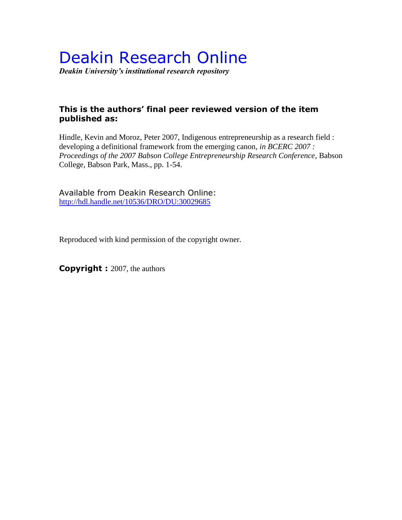# Deakin Research Online

*Deakin University's institutional research repository*

## **This is the authors' final peer reviewed version of the item published as:**

Hindle, Kevin and Moroz, Peter 2007, Indigenous entrepreneurship as a research field : developing a definitional framework from the emerging canon*, in BCERC 2007 : Proceedings of the 2007 Babson College Entrepreneurship Research Conference*, Babson College, Babson Park, Mass., pp. 1-54.

Available from Deakin Research Online: <http://hdl.handle.net/10536/DRO/DU:30029685>

Reproduced with kind permission of the copyright owner.

**Copyright :** 2007, the authors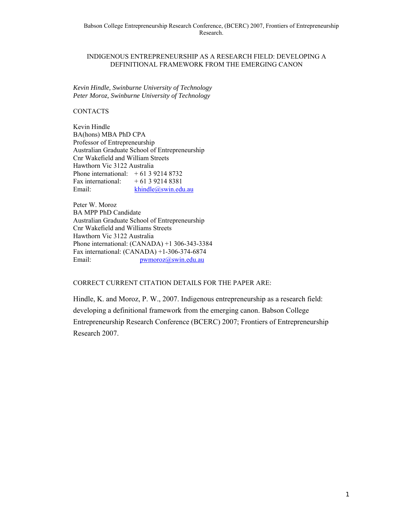#### INDIGENOUS ENTREPRENEURSHIP AS A RESEARCH FIELD: DEVELOPING A DEFINITIONAL FRAMEWORK FROM THE EMERGING CANON

*Kevin Hindle, Swinburne University of Technology Peter Moroz, Swinburne University of Technology* 

#### CONTACTS

Kevin Hindle BA(hons) MBA PhD CPA Professor of Entrepreneurship Australian Graduate School of Entrepreneurship Cnr Wakefield and William Streets Hawthorn Vic 3122 Australia Phone international: + 61 3 9214 8732 Fax international:  $+61392148381$ Email: khindle@swin.edu.au

Peter W. Moroz BA MPP PhD Candidate Australian Graduate School of Entrepreneurship Cnr Wakefield and Williams Streets Hawthorn Vic 3122 Australia Phone international: (CANADA) +1 306-343-3384 Fax international: (CANADA) +1-306-374-6874 Email: pwmoroz@swin.edu.au

CORRECT CURRENT CITATION DETAILS FOR THE PAPER ARE:

Hindle, K. and Moroz, P. W., 2007. Indigenous entrepreneurship as a research field: developing a definitional framework from the emerging canon. Babson College Entrepreneurship Research Conference (BCERC) 2007; Frontiers of Entrepreneurship Research 2007.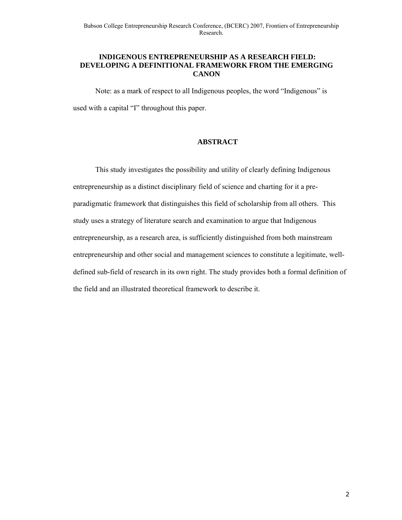#### **INDIGENOUS ENTREPRENEURSHIP AS A RESEARCH FIELD: DEVELOPING A DEFINITIONAL FRAMEWORK FROM THE EMERGING CANON**

Note: as a mark of respect to all Indigenous peoples, the word "Indigenous" is used with a capital "I" throughout this paper.

#### **ABSTRACT**

This study investigates the possibility and utility of clearly defining Indigenous entrepreneurship as a distinct disciplinary field of science and charting for it a preparadigmatic framework that distinguishes this field of scholarship from all others. This study uses a strategy of literature search and examination to argue that Indigenous entrepreneurship, as a research area, is sufficiently distinguished from both mainstream entrepreneurship and other social and management sciences to constitute a legitimate, welldefined sub-field of research in its own right. The study provides both a formal definition of the field and an illustrated theoretical framework to describe it.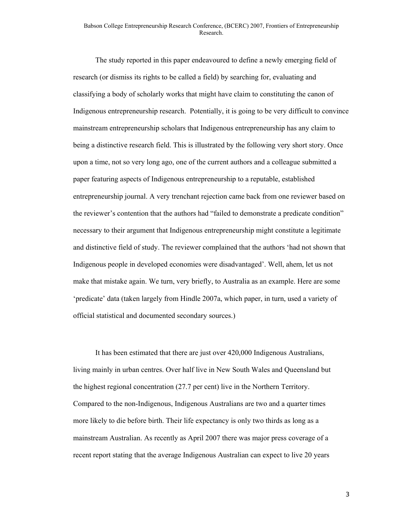The study reported in this paper endeavoured to define a newly emerging field of research (or dismiss its rights to be called a field) by searching for, evaluating and classifying a body of scholarly works that might have claim to constituting the canon of Indigenous entrepreneurship research. Potentially, it is going to be very difficult to convince mainstream entrepreneurship scholars that Indigenous entrepreneurship has any claim to being a distinctive research field. This is illustrated by the following very short story. Once upon a time, not so very long ago, one of the current authors and a colleague submitted a paper featuring aspects of Indigenous entrepreneurship to a reputable, established entrepreneurship journal. A very trenchant rejection came back from one reviewer based on the reviewer's contention that the authors had "failed to demonstrate a predicate condition" necessary to their argument that Indigenous entrepreneurship might constitute a legitimate and distinctive field of study. The reviewer complained that the authors 'had not shown that Indigenous people in developed economies were disadvantaged'. Well, ahem, let us not make that mistake again. We turn, very briefly, to Australia as an example. Here are some 'predicate' data (taken largely from Hindle 2007a, which paper, in turn, used a variety of official statistical and documented secondary sources.)

It has been estimated that there are just over 420,000 Indigenous Australians, living mainly in urban centres. Over half live in New South Wales and Queensland but the highest regional concentration (27.7 per cent) live in the Northern Territory. Compared to the non-Indigenous, Indigenous Australians are two and a quarter times more likely to die before birth. Their life expectancy is only two thirds as long as a mainstream Australian. As recently as April 2007 there was major press coverage of a recent report stating that the average Indigenous Australian can expect to live 20 years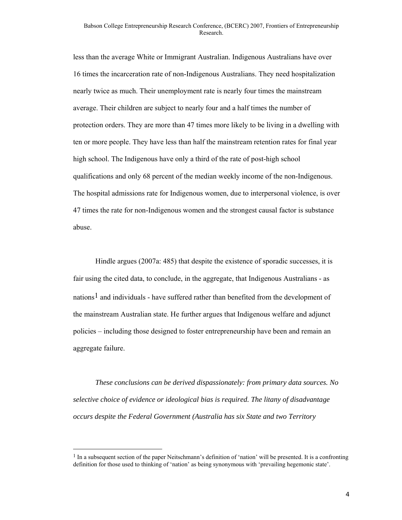less than the average White or Immigrant Australian. Indigenous Australians have over 16 times the incarceration rate of non-Indigenous Australians. They need hospitalization nearly twice as much. Their unemployment rate is nearly four times the mainstream average. Their children are subject to nearly four and a half times the number of protection orders. They are more than 47 times more likely to be living in a dwelling with ten or more people. They have less than half the mainstream retention rates for final year high school. The Indigenous have only a third of the rate of post-high school qualifications and only 68 percent of the median weekly income of the non-Indigenous. The hospital admissions rate for Indigenous women, due to interpersonal violence, is over 47 times the rate for non-Indigenous women and the strongest causal factor is substance abuse.

Hindle argues (2007a: 485) that despite the existence of sporadic successes, it is fair using the cited data, to conclude, in the aggregate, that Indigenous Australians - as nations<sup>1</sup> and individuals - have suffered rather than benefited from the development of the mainstream Australian state. He further argues that Indigenous welfare and adjunct policies – including those designed to foster entrepreneurship have been and remain an aggregate failure.

*These conclusions can be derived dispassionately: from primary data sources. No selective choice of evidence or ideological bias is required. The litany of disadvantage occurs despite the Federal Government (Australia has six State and two Territory* 

<sup>&</sup>lt;sup>1</sup> In a subsequent section of the paper Neitschmann's definition of 'nation' will be presented. It is a confronting definition for those used to thinking of 'nation' as being synonymous with 'prevailing hegemonic state'.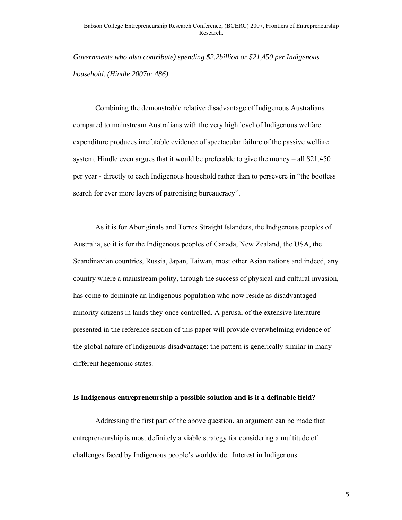*Governments who also contribute) spending \$2.2billion or \$21,450 per Indigenous household. (Hindle 2007a: 486)* 

Combining the demonstrable relative disadvantage of Indigenous Australians compared to mainstream Australians with the very high level of Indigenous welfare expenditure produces irrefutable evidence of spectacular failure of the passive welfare system. Hindle even argues that it would be preferable to give the money – all \$21,450 per year - directly to each Indigenous household rather than to persevere in "the bootless search for ever more layers of patronising bureaucracy".

As it is for Aboriginals and Torres Straight Islanders, the Indigenous peoples of Australia, so it is for the Indigenous peoples of Canada, New Zealand, the USA, the Scandinavian countries, Russia, Japan, Taiwan, most other Asian nations and indeed, any country where a mainstream polity, through the success of physical and cultural invasion, has come to dominate an Indigenous population who now reside as disadvantaged minority citizens in lands they once controlled. A perusal of the extensive literature presented in the reference section of this paper will provide overwhelming evidence of the global nature of Indigenous disadvantage: the pattern is generically similar in many different hegemonic states.

#### **Is Indigenous entrepreneurship a possible solution and is it a definable field?**

Addressing the first part of the above question, an argument can be made that entrepreneurship is most definitely a viable strategy for considering a multitude of challenges faced by Indigenous people's worldwide. Interest in Indigenous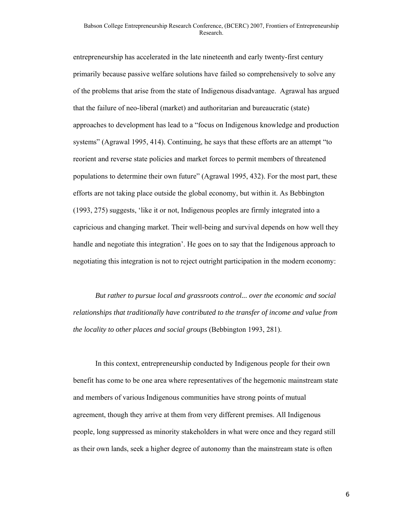entrepreneurship has accelerated in the late nineteenth and early twenty-first century primarily because passive welfare solutions have failed so comprehensively to solve any of the problems that arise from the state of Indigenous disadvantage. Agrawal has argued that the failure of neo-liberal (market) and authoritarian and bureaucratic (state) approaches to development has lead to a "focus on Indigenous knowledge and production systems" (Agrawal 1995, 414). Continuing, he says that these efforts are an attempt "to reorient and reverse state policies and market forces to permit members of threatened populations to determine their own future" (Agrawal 1995, 432). For the most part, these efforts are not taking place outside the global economy, but within it. As Bebbington (1993, 275) suggests, 'like it or not, Indigenous peoples are firmly integrated into a capricious and changing market. Their well-being and survival depends on how well they handle and negotiate this integration'. He goes on to say that the Indigenous approach to negotiating this integration is not to reject outright participation in the modern economy:

*But rather to pursue local and grassroots control... over the economic and social relationships that traditionally have contributed to the transfer of income and value from the locality to other places and social groups* (Bebbington 1993, 281).

In this context, entrepreneurship conducted by Indigenous people for their own benefit has come to be one area where representatives of the hegemonic mainstream state and members of various Indigenous communities have strong points of mutual agreement, though they arrive at them from very different premises. All Indigenous people, long suppressed as minority stakeholders in what were once and they regard still as their own lands, seek a higher degree of autonomy than the mainstream state is often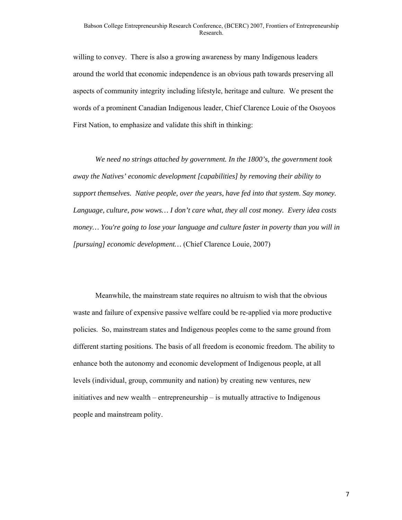willing to convey. There is also a growing awareness by many Indigenous leaders around the world that economic independence is an obvious path towards preserving all aspects of community integrity including lifestyle, heritage and culture. We present the words of a prominent Canadian Indigenous leader, Chief Clarence Louie of the Osoyoos First Nation, to emphasize and validate this shift in thinking:

*We need no strings attached by government. In the 1800's, the government took away the Natives' economic development [capabilities] by removing their ability to support themselves. Native people, over the years, have fed into that system*. *Say money. Language, culture, pow wows… I don't care what, they all cost money. Every idea costs money… You're going to lose your language and culture faster in poverty than you will in [pursuing] economic development…* (Chief Clarence Louie, 2007)

Meanwhile, the mainstream state requires no altruism to wish that the obvious waste and failure of expensive passive welfare could be re-applied via more productive policies. So, mainstream states and Indigenous peoples come to the same ground from different starting positions. The basis of all freedom is economic freedom. The ability to enhance both the autonomy and economic development of Indigenous people, at all levels (individual, group, community and nation) by creating new ventures, new initiatives and new wealth – entrepreneurship – is mutually attractive to Indigenous people and mainstream polity.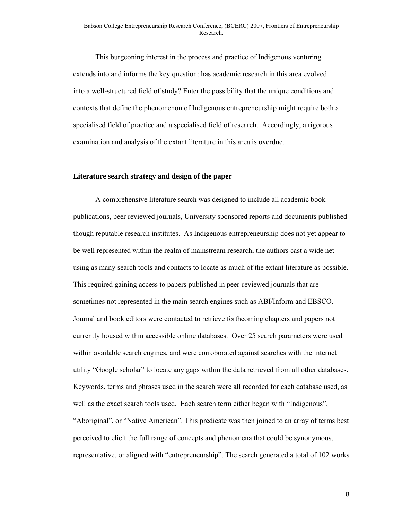This burgeoning interest in the process and practice of Indigenous venturing extends into and informs the key question: has academic research in this area evolved into a well-structured field of study? Enter the possibility that the unique conditions and contexts that define the phenomenon of Indigenous entrepreneurship might require both a specialised field of practice and a specialised field of research. Accordingly, a rigorous examination and analysis of the extant literature in this area is overdue.

#### **Literature search strategy and design of the paper**

A comprehensive literature search was designed to include all academic book publications, peer reviewed journals, University sponsored reports and documents published though reputable research institutes. As Indigenous entrepreneurship does not yet appear to be well represented within the realm of mainstream research, the authors cast a wide net using as many search tools and contacts to locate as much of the extant literature as possible. This required gaining access to papers published in peer-reviewed journals that are sometimes not represented in the main search engines such as ABI/Inform and EBSCO. Journal and book editors were contacted to retrieve forthcoming chapters and papers not currently housed within accessible online databases. Over 25 search parameters were used within available search engines, and were corroborated against searches with the internet utility "Google scholar" to locate any gaps within the data retrieved from all other databases. Keywords, terms and phrases used in the search were all recorded for each database used, as well as the exact search tools used. Each search term either began with "Indigenous", "Aboriginal", or "Native American". This predicate was then joined to an array of terms best perceived to elicit the full range of concepts and phenomena that could be synonymous, representative, or aligned with "entrepreneurship". The search generated a total of 102 works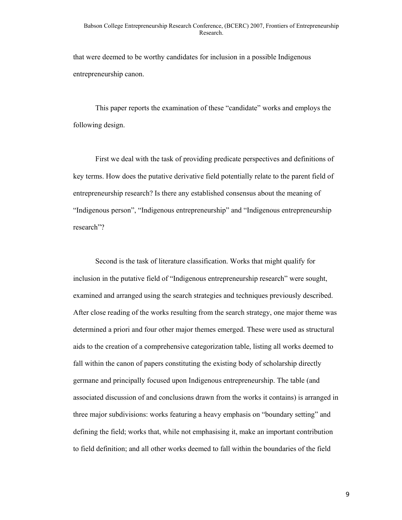that were deemed to be worthy candidates for inclusion in a possible Indigenous entrepreneurship canon.

This paper reports the examination of these "candidate" works and employs the following design.

First we deal with the task of providing predicate perspectives and definitions of key terms. How does the putative derivative field potentially relate to the parent field of entrepreneurship research? Is there any established consensus about the meaning of "Indigenous person", "Indigenous entrepreneurship" and "Indigenous entrepreneurship research"?

Second is the task of literature classification. Works that might qualify for inclusion in the putative field of "Indigenous entrepreneurship research" were sought, examined and arranged using the search strategies and techniques previously described. After close reading of the works resulting from the search strategy, one major theme was determined a priori and four other major themes emerged. These were used as structural aids to the creation of a comprehensive categorization table, listing all works deemed to fall within the canon of papers constituting the existing body of scholarship directly germane and principally focused upon Indigenous entrepreneurship. The table (and associated discussion of and conclusions drawn from the works it contains) is arranged in three major subdivisions: works featuring a heavy emphasis on "boundary setting" and defining the field; works that, while not emphasising it, make an important contribution to field definition; and all other works deemed to fall within the boundaries of the field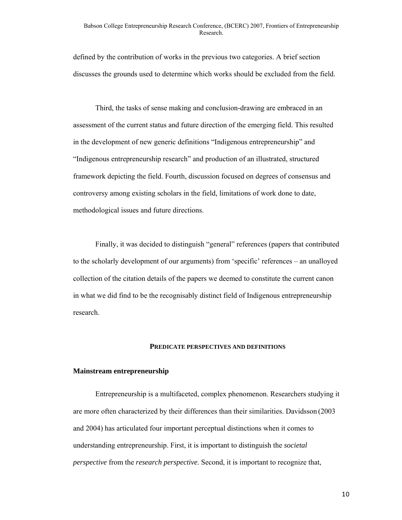defined by the contribution of works in the previous two categories. A brief section discusses the grounds used to determine which works should be excluded from the field.

Third, the tasks of sense making and conclusion-drawing are embraced in an assessment of the current status and future direction of the emerging field. This resulted in the development of new generic definitions "Indigenous entrepreneurship" and "Indigenous entrepreneurship research" and production of an illustrated, structured framework depicting the field. Fourth, discussion focused on degrees of consensus and controversy among existing scholars in the field, limitations of work done to date, methodological issues and future directions.

Finally, it was decided to distinguish "general" references (papers that contributed to the scholarly development of our arguments) from 'specific' references – an unalloyed collection of the citation details of the papers we deemed to constitute the current canon in what we did find to be the recognisably distinct field of Indigenous entrepreneurship research.

#### **PREDICATE PERSPECTIVES AND DEFINITIONS**

#### **Mainstream entrepreneurship**

Entrepreneurship is a multifaceted, complex phenomenon. Researchers studying it are more often characterized by their differences than their similarities. Davidsson (2003 and 2004) has articulated four important perceptual distinctions when it comes to understanding entrepreneurship. First, it is important to distinguish the *societal perspective* from the *research perspective*. Second, it is important to recognize that,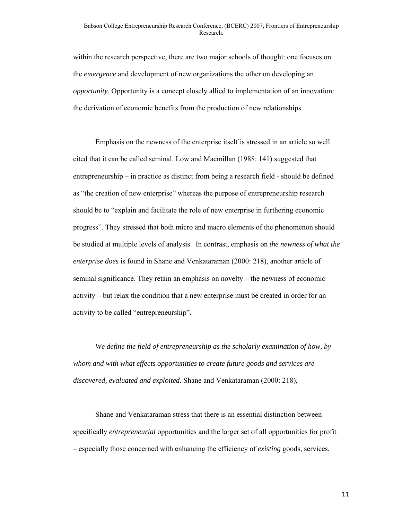within the research perspective, there are two major schools of thought: one focuses on the *emergence* and development of new organizations the other on developing an *opportunity*. Opportunity is a concept closely allied to implementation of an innovation: the derivation of economic benefits from the production of new relationships.

Emphasis on the newness of the enterprise itself is stressed in an article so well cited that it can be called seminal. Low and Macmillan (1988: 141) suggested that entrepreneurship – in practice as distinct from being a research field - should be defined as "the creation of new enterprise" whereas the purpose of entrepreneurship research should be to "explain and facilitate the role of new enterprise in furthering economic progress". They stressed that both micro and macro elements of the phenomenon should be studied at multiple levels of analysis. In contrast, emphasis on *the newness of what the enterprise does* is found in Shane and Venkataraman (2000: 218), another article of seminal significance. They retain an emphasis on novelty – the newness of economic activity – but relax the condition that a new enterprise must be created in order for an activity to be called "entrepreneurship".

*We define the field of entrepreneurship as the scholarly examination of how, by whom and with what effects opportunities to create future goods and services are discovered, evaluated and exploited.* Shane and Venkataraman (2000: 218),

Shane and Venkataraman stress that there is an essential distinction between specifically *entrepreneurial* opportunities and the larger set of all opportunities for profit – especially those concerned with enhancing the efficiency of *existing* goods, services,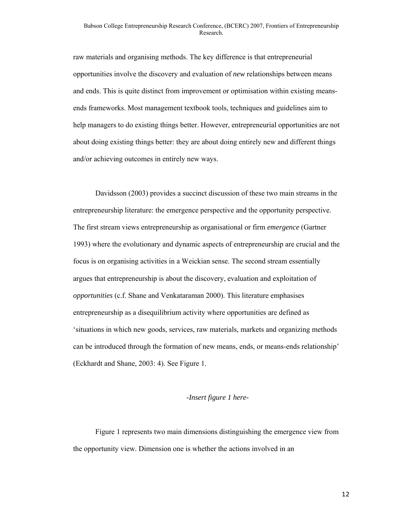raw materials and organising methods. The key difference is that entrepreneurial opportunities involve the discovery and evaluation of *new* relationships between means and ends. This is quite distinct from improvement or optimisation within existing meansends frameworks. Most management textbook tools, techniques and guidelines aim to help managers to do existing things better. However, entrepreneurial opportunities are not about doing existing things better: they are about doing entirely new and different things and/or achieving outcomes in entirely new ways.

Davidsson (2003) provides a succinct discussion of these two main streams in the entrepreneurship literature: the emergence perspective and the opportunity perspective. The first stream views entrepreneurship as organisational or firm *emergence* (Gartner 1993) where the evolutionary and dynamic aspects of entrepreneurship are crucial and the focus is on organising activities in a Weickian sense. The second stream essentially argues that entrepreneurship is about the discovery, evaluation and exploitation of *opportunities* (c.f. Shane and Venkataraman 2000). This literature emphasises entrepreneurship as a disequilibrium activity where opportunities are defined as 'situations in which new goods, services, raw materials, markets and organizing methods can be introduced through the formation of new means, ends, or means-ends relationship' (Eckhardt and Shane, 2003: 4). See Figure 1.

#### *-Insert figure 1 here-*

Figure 1 represents two main dimensions distinguishing the emergence view from the opportunity view. Dimension one is whether the actions involved in an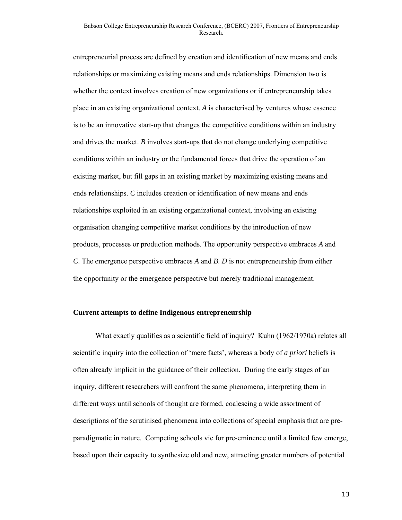entrepreneurial process are defined by creation and identification of new means and ends relationships or maximizing existing means and ends relationships. Dimension two is whether the context involves creation of new organizations or if entrepreneurship takes place in an existing organizational context. *A* is characterised by ventures whose essence is to be an innovative start-up that changes the competitive conditions within an industry and drives the market. *B* involves start-ups that do not change underlying competitive conditions within an industry or the fundamental forces that drive the operation of an existing market, but fill gaps in an existing market by maximizing existing means and ends relationships. *C* includes creation or identification of new means and ends relationships exploited in an existing organizational context, involving an existing organisation changing competitive market conditions by the introduction of new products, processes or production methods. The opportunity perspective embraces *A* and *C*. The emergence perspective embraces *A* and *B*. *D* is not entrepreneurship from either the opportunity or the emergence perspective but merely traditional management.

#### **Current attempts to define Indigenous entrepreneurship**

What exactly qualifies as a scientific field of inquiry? Kuhn (1962/1970a) relates all scientific inquiry into the collection of 'mere facts', whereas a body of *a priori* beliefs is often already implicit in the guidance of their collection. During the early stages of an inquiry, different researchers will confront the same phenomena, interpreting them in different ways until schools of thought are formed, coalescing a wide assortment of descriptions of the scrutinised phenomena into collections of special emphasis that are preparadigmatic in nature. Competing schools vie for pre-eminence until a limited few emerge, based upon their capacity to synthesize old and new, attracting greater numbers of potential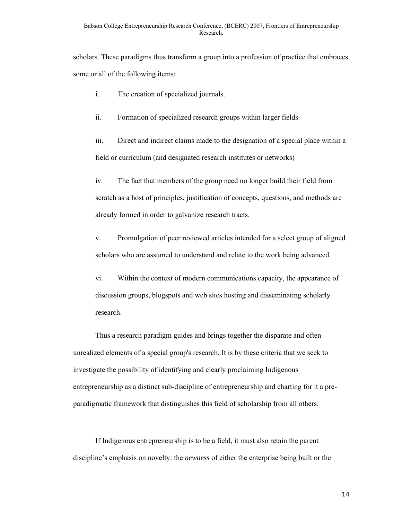scholars. These paradigms thus transform a group into a profession of practice that embraces some or all of the following items:

- i. The creation of specialized journals.
- ii. Formation of specialized research groups within larger fields

iii. Direct and indirect claims made to the designation of a special place within a field or curriculum (and designated research institutes or networks)

iv. The fact that members of the group need no longer build their field from scratch as a host of principles, justification of concepts, questions, and methods are already formed in order to galvanize research tracts.

v. Promulgation of peer reviewed articles intended for a select group of aligned scholars who are assumed to understand and relate to the work being advanced.

vi. Within the context of modern communications capacity, the appearance of discussion groups, blogspots and web sites hosting and disseminating scholarly research.

Thus a research paradigm guides and brings together the disparate and often unrealized elements of a special group's research. It is by these criteria that we seek to investigate the possibility of identifying and clearly proclaiming Indigenous entrepreneurship as a distinct sub-discipline of entrepreneurship and charting for it a preparadigmatic framework that distinguishes this field of scholarship from all others.

If Indigenous entrepreneurship is to be a field, it must also retain the parent discipline's emphasis on novelty: the *newness* of either the enterprise being built or the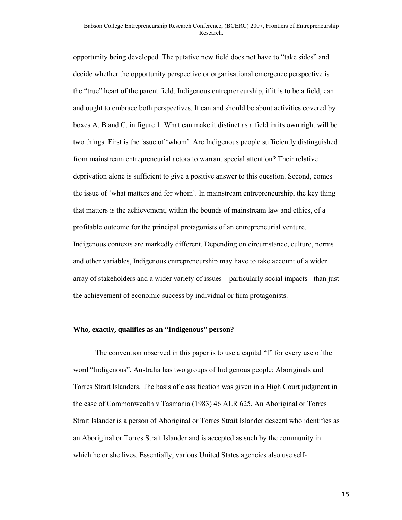#### Babson College Entrepreneurship Research Conference, (BCERC) 2007, Frontiers of Entrepreneurship Research.

opportunity being developed. The putative new field does not have to "take sides" and decide whether the opportunity perspective or organisational emergence perspective is the "true" heart of the parent field. Indigenous entrepreneurship, if it is to be a field, can and ought to embrace both perspectives. It can and should be about activities covered by boxes A, B and C, in figure 1. What can make it distinct as a field in its own right will be two things. First is the issue of 'whom'. Are Indigenous people sufficiently distinguished from mainstream entrepreneurial actors to warrant special attention? Their relative deprivation alone is sufficient to give a positive answer to this question. Second, comes the issue of 'what matters and for whom'. In mainstream entrepreneurship, the key thing that matters is the achievement, within the bounds of mainstream law and ethics, of a profitable outcome for the principal protagonists of an entrepreneurial venture. Indigenous contexts are markedly different. Depending on circumstance, culture, norms and other variables, Indigenous entrepreneurship may have to take account of a wider array of stakeholders and a wider variety of issues – particularly social impacts - than just the achievement of economic success by individual or firm protagonists.

#### **Who, exactly, qualifies as an "Indigenous" person?**

The convention observed in this paper is to use a capital "I" for every use of the word "Indigenous". Australia has two groups of Indigenous people: Aboriginals and Torres Strait Islanders. The basis of classification was given in a High Court judgment in the case of Commonwealth v Tasmania (1983) 46 ALR 625. An Aboriginal or Torres Strait Islander is a person of Aboriginal or Torres Strait Islander descent who identifies as an Aboriginal or Torres Strait Islander and is accepted as such by the community in which he or she lives. Essentially, various United States agencies also use self-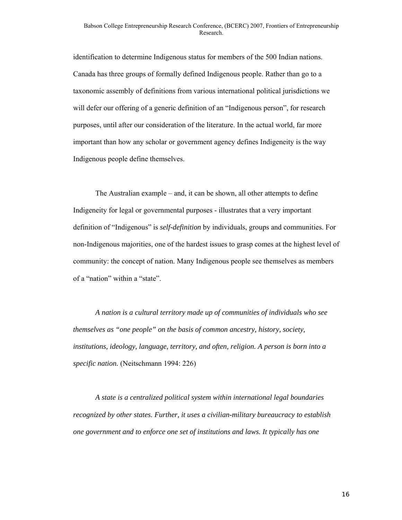identification to determine Indigenous status for members of the 500 Indian nations. Canada has three groups of formally defined Indigenous people. Rather than go to a taxonomic assembly of definitions from various international political jurisdictions we will defer our offering of a generic definition of an "Indigenous person", for research purposes, until after our consideration of the literature. In the actual world, far more important than how any scholar or government agency defines Indigeneity is the way Indigenous people define themselves.

The Australian example – and, it can be shown, all other attempts to define Indigeneity for legal or governmental purposes - illustrates that a very important definition of "Indigenous" is *self-definition* by individuals, groups and communities. For non-Indigenous majorities, one of the hardest issues to grasp comes at the highest level of community: the concept of nation. Many Indigenous people see themselves as members of a "nation" within a "state".

*A nation is a cultural territory made up of communities of individuals who see themselves as "one people" on the basis of common ancestry, history, society, institutions, ideology, language, territory, and often, religion. A person is born into a specific nation.* (Neitschmann 1994: 226)

*A state is a centralized political system within international legal boundaries recognized by other states. Further, it uses a civilian-military bureaucracy to establish one government and to enforce one set of institutions and laws. It typically has one*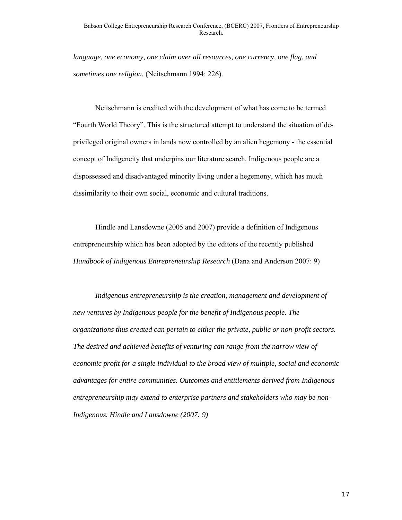*language, one economy, one claim over all resources, one currency, one flag, and sometimes one religion.* (Neitschmann 1994: 226).

Neitschmann is credited with the development of what has come to be termed "Fourth World Theory". This is the structured attempt to understand the situation of deprivileged original owners in lands now controlled by an alien hegemony - the essential concept of Indigeneity that underpins our literature search. Indigenous people are a dispossessed and disadvantaged minority living under a hegemony, which has much dissimilarity to their own social, economic and cultural traditions.

Hindle and Lansdowne (2005 and 2007) provide a definition of Indigenous entrepreneurship which has been adopted by the editors of the recently published *Handbook of Indigenous Entrepreneurship Research* (Dana and Anderson 2007: 9)

*Indigenous entrepreneurship is the creation, management and development of new ventures by Indigenous people for the benefit of Indigenous people. The organizations thus created can pertain to either the private, public or non-profit sectors. The desired and achieved benefits of venturing can range from the narrow view of economic profit for a single individual to the broad view of multiple, social and economic advantages for entire communities. Outcomes and entitlements derived from Indigenous entrepreneurship may extend to enterprise partners and stakeholders who may be non-Indigenous. Hindle and Lansdowne (2007: 9)*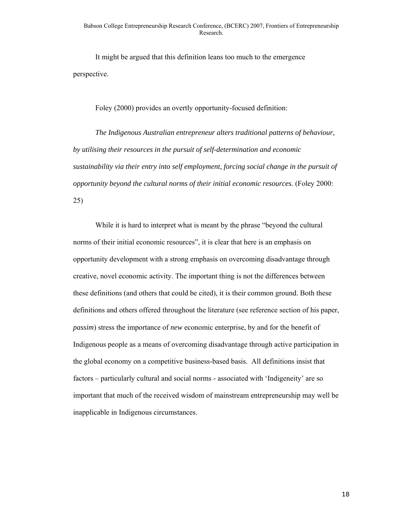It might be argued that this definition leans too much to the emergence perspective.

Foley (2000) provides an overtly opportunity-focused definition:

*The Indigenous Australian entrepreneur alters traditional patterns of behaviour, by utilising their resources in the pursuit of self-determination and economic sustainability via their entry into self employment, forcing social change in the pursuit of opportunity beyond the cultural norms of their initial economic resources.* (Foley 2000: 25)

While it is hard to interpret what is meant by the phrase "beyond the cultural norms of their initial economic resources", it is clear that here is an emphasis on opportunity development with a strong emphasis on overcoming disadvantage through creative, novel economic activity. The important thing is not the differences between these definitions (and others that could be cited), it is their common ground. Both these definitions and others offered throughout the literature (see reference section of his paper, *passim*) stress the importance of *new* economic enterprise, by and for the benefit of Indigenous people as a means of overcoming disadvantage through active participation in the global economy on a competitive business-based basis. All definitions insist that factors – particularly cultural and social norms - associated with 'Indigeneity' are so important that much of the received wisdom of mainstream entrepreneurship may well be inapplicable in Indigenous circumstances.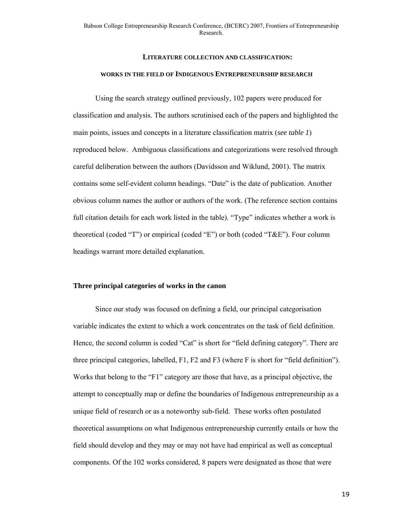## **LITERATURE COLLECTION AND CLASSIFICATION: WORKS IN THE FIELD OF INDIGENOUS ENTREPRENEURSHIP RESEARCH**

Using the search strategy outlined previously, 102 papers were produced for classification and analysis. The authors scrutinised each of the papers and highlighted the main points, issues and concepts in a literature classification matrix (*see table 1*) reproduced below. Ambiguous classifications and categorizations were resolved through careful deliberation between the authors (Davidsson and Wiklund, 2001). The matrix contains some self-evident column headings. "Date" is the date of publication. Another obvious column names the author or authors of the work. (The reference section contains full citation details for each work listed in the table). "Type" indicates whether a work is theoretical (coded "T") or empirical (coded "E") or both (coded "T&E"). Four column headings warrant more detailed explanation.

#### **Three principal categories of works in the canon**

Since our study was focused on defining a field, our principal categorisation variable indicates the extent to which a work concentrates on the task of field definition. Hence, the second column is coded "Cat" is short for "field defining category". There are three principal categories, labelled, F1, F2 and F3 (where F is short for "field definition"). Works that belong to the "F1" category are those that have, as a principal objective, the attempt to conceptually map or define the boundaries of Indigenous entrepreneurship as a unique field of research or as a noteworthy sub-field. These works often postulated theoretical assumptions on what Indigenous entrepreneurship currently entails or how the field should develop and they may or may not have had empirical as well as conceptual components. Of the 102 works considered, 8 papers were designated as those that were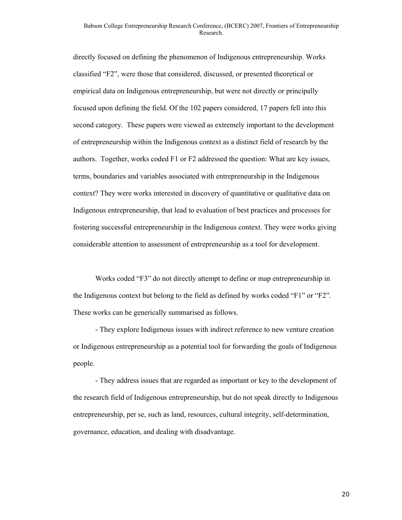#### Babson College Entrepreneurship Research Conference, (BCERC) 2007, Frontiers of Entrepreneurship Research.

directly focused on defining the phenomenon of Indigenous entrepreneurship. Works classified "F2", were those that considered, discussed, or presented theoretical or empirical data on Indigenous entrepreneurship, but were not directly or principally focused upon defining the field. Of the 102 papers considered, 17 papers fell into this second category. These papers were viewed as extremely important to the development of entrepreneurship within the Indigenous context as a distinct field of research by the authors. Together, works coded F1 or F2 addressed the question: What are key issues, terms, boundaries and variables associated with entrepreneurship in the Indigenous context? They were works interested in discovery of quantitative or qualitative data on Indigenous entrepreneurship, that lead to evaluation of best practices and processes for fostering successful entrepreneurship in the Indigenous context. They were works giving considerable attention to assessment of entrepreneurship as a tool for development.

Works coded "F3" do not directly attempt to define or map entrepreneurship in the Indigenous context but belong to the field as defined by works coded "F1" or "F2". These works can be generically summarised as follows.

- They explore Indigenous issues with indirect reference to new venture creation or Indigenous entrepreneurship as a potential tool for forwarding the goals of Indigenous people.

- They address issues that are regarded as important or key to the development of the research field of Indigenous entrepreneurship, but do not speak directly to Indigenous entrepreneurship, per se, such as land, resources, cultural integrity, self-determination, governance, education, and dealing with disadvantage.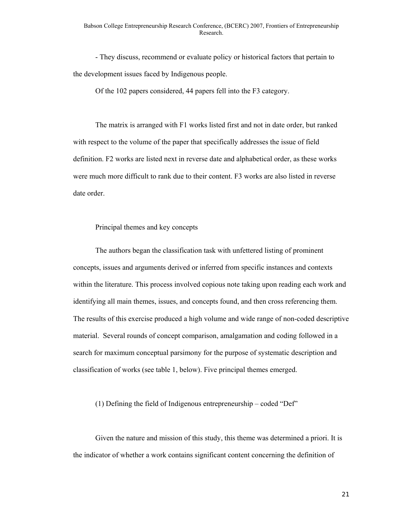- They discuss, recommend or evaluate policy or historical factors that pertain to the development issues faced by Indigenous people.

Of the 102 papers considered, 44 papers fell into the F3 category.

The matrix is arranged with F1 works listed first and not in date order, but ranked with respect to the volume of the paper that specifically addresses the issue of field definition. F2 works are listed next in reverse date and alphabetical order, as these works were much more difficult to rank due to their content. F3 works are also listed in reverse date order.

Principal themes and key concepts

The authors began the classification task with unfettered listing of prominent concepts, issues and arguments derived or inferred from specific instances and contexts within the literature. This process involved copious note taking upon reading each work and identifying all main themes, issues, and concepts found, and then cross referencing them. The results of this exercise produced a high volume and wide range of non-coded descriptive material. Several rounds of concept comparison, amalgamation and coding followed in a search for maximum conceptual parsimony for the purpose of systematic description and classification of works (see table 1, below). Five principal themes emerged.

(1) Defining the field of Indigenous entrepreneurship – coded "Def"

Given the nature and mission of this study, this theme was determined a priori. It is the indicator of whether a work contains significant content concerning the definition of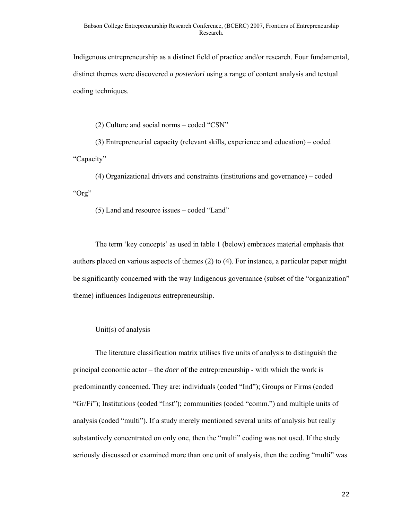Indigenous entrepreneurship as a distinct field of practice and/or research. Four fundamental, distinct themes were discovered *a posteriori* using a range of content analysis and textual coding techniques.

(2) Culture and social norms – coded "CSN"

(3) Entrepreneurial capacity (relevant skills, experience and education) – coded "Capacity"

(4) Organizational drivers and constraints (institutions and governance) – coded "Org"

(5) Land and resource issues – coded "Land"

The term 'key concepts' as used in table 1 (below) embraces material emphasis that authors placed on various aspects of themes (2) to (4). For instance, a particular paper might be significantly concerned with the way Indigenous governance (subset of the "organization" theme) influences Indigenous entrepreneurship.

#### Unit(s) of analysis

The literature classification matrix utilises five units of analysis to distinguish the principal economic actor – the *doer* of the entrepreneurship - with which the work is predominantly concerned. They are: individuals (coded "Ind"); Groups or Firms (coded "Gr/Fi"); Institutions (coded "Inst"); communities (coded "comm.") and multiple units of analysis (coded "multi"). If a study merely mentioned several units of analysis but really substantively concentrated on only one, then the "multi" coding was not used. If the study seriously discussed or examined more than one unit of analysis, then the coding "multi" was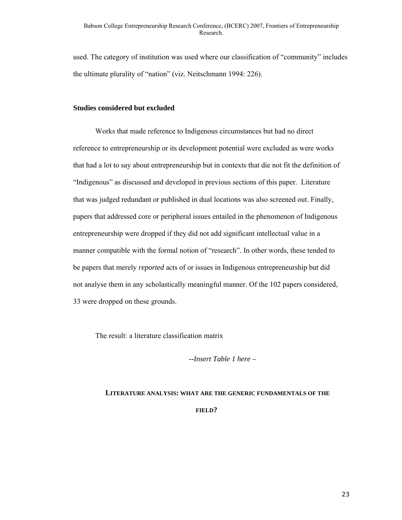used. The category of institution was used where our classification of "community" includes the ultimate plurality of "nation" (viz. Neitschmann 1994: 226).

#### **Studies considered but excluded**

Works that made reference to Indigenous circumstances but had no direct reference to entrepreneurship or its development potential were excluded as were works that had a lot to say about entrepreneurship but in contexts that die not fit the definition of "Indigenous" as discussed and developed in previous sections of this paper. Literature that was judged redundant or published in dual locations was also screened out. Finally, papers that addressed core or peripheral issues entailed in the phenomenon of Indigenous entrepreneurship were dropped if they did not add significant intellectual value in a manner compatible with the formal notion of "research". In other words, these tended to be papers that merely *reported* acts of or issues in Indigenous entrepreneurship but did not analyse them in any scholastically meaningful manner. Of the 102 papers considered, 33 were dropped on these grounds.

The result: a literature classification matrix

*--Insert Table 1 here –* 

# **LITERATURE ANALYSIS: WHAT ARE THE GENERIC FUNDAMENTALS OF THE FIELD?**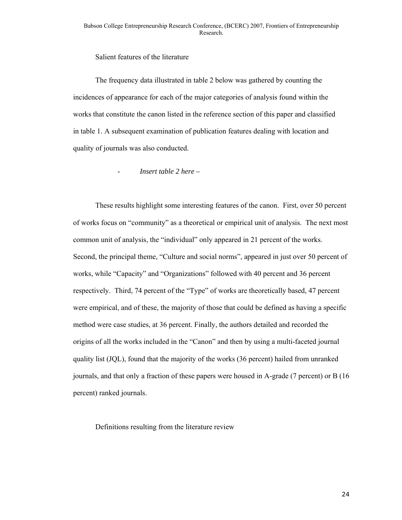#### Salient features of the literature

The frequency data illustrated in table 2 below was gathered by counting the incidences of appearance for each of the major categories of analysis found within the works that constitute the canon listed in the reference section of this paper and classified in table 1. A subsequent examination of publication features dealing with location and quality of journals was also conducted.

#### - *Insert table 2 here –*

These results highlight some interesting features of the canon. First, over 50 percent of works focus on "community" as a theoretical or empirical unit of analysis. The next most common unit of analysis, the "individual" only appeared in 21 percent of the works. Second, the principal theme, "Culture and social norms", appeared in just over 50 percent of works, while "Capacity" and "Organizations" followed with 40 percent and 36 percent respectively. Third, 74 percent of the "Type" of works are theoretically based, 47 percent were empirical, and of these, the majority of those that could be defined as having a specific method were case studies, at 36 percent. Finally, the authors detailed and recorded the origins of all the works included in the "Canon" and then by using a multi-faceted journal quality list (JQL), found that the majority of the works (36 percent) hailed from unranked journals, and that only a fraction of these papers were housed in A-grade (7 percent) or B (16 percent) ranked journals.

Definitions resulting from the literature review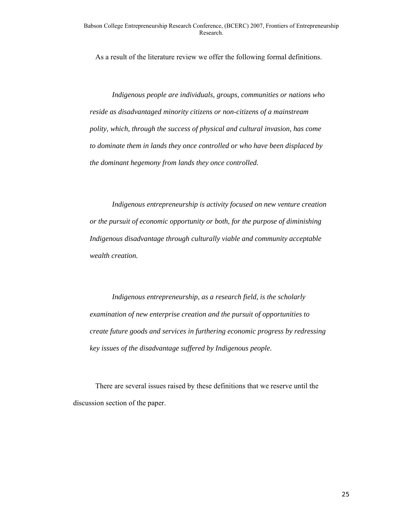As a result of the literature review we offer the following formal definitions.

*Indigenous people are individuals, groups, communities or nations who reside as disadvantaged minority citizens or non-citizens of a mainstream polity, which, through the success of physical and cultural invasion, has come to dominate them in lands they once controlled or who have been displaced by the dominant hegemony from lands they once controlled.* 

*Indigenous entrepreneurship is activity focused on new venture creation or the pursuit of economic opportunity or both, for the purpose of diminishing Indigenous disadvantage through culturally viable and community acceptable wealth creation.* 

*Indigenous entrepreneurship, as a research field, is the scholarly examination of new enterprise creation and the pursuit of opportunities to create future goods and services in furthering economic progress by redressing key issues of the disadvantage suffered by Indigenous people.* 

There are several issues raised by these definitions that we reserve until the discussion section of the paper.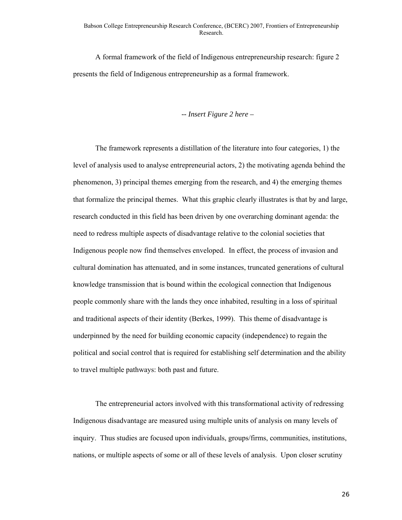A formal framework of the field of Indigenous entrepreneurship research: figure 2 presents the field of Indigenous entrepreneurship as a formal framework.

#### *-- Insert Figure 2 here –*

The framework represents a distillation of the literature into four categories, 1) the level of analysis used to analyse entrepreneurial actors, 2) the motivating agenda behind the phenomenon, 3) principal themes emerging from the research, and 4) the emerging themes that formalize the principal themes. What this graphic clearly illustrates is that by and large, research conducted in this field has been driven by one overarching dominant agenda: the need to redress multiple aspects of disadvantage relative to the colonial societies that Indigenous people now find themselves enveloped. In effect, the process of invasion and cultural domination has attenuated, and in some instances, truncated generations of cultural knowledge transmission that is bound within the ecological connection that Indigenous people commonly share with the lands they once inhabited, resulting in a loss of spiritual and traditional aspects of their identity (Berkes, 1999). This theme of disadvantage is underpinned by the need for building economic capacity (independence) to regain the political and social control that is required for establishing self determination and the ability to travel multiple pathways: both past and future.

The entrepreneurial actors involved with this transformational activity of redressing Indigenous disadvantage are measured using multiple units of analysis on many levels of inquiry. Thus studies are focused upon individuals, groups/firms, communities, institutions, nations, or multiple aspects of some or all of these levels of analysis. Upon closer scrutiny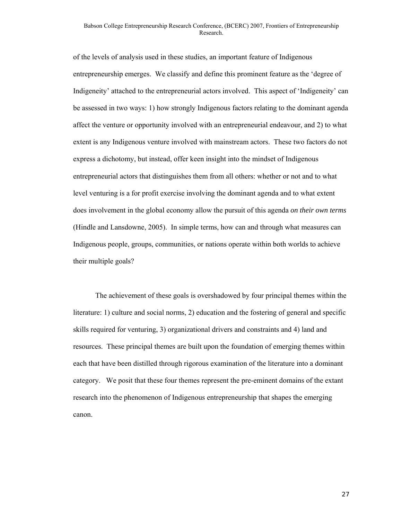#### Babson College Entrepreneurship Research Conference, (BCERC) 2007, Frontiers of Entrepreneurship Research.

of the levels of analysis used in these studies, an important feature of Indigenous entrepreneurship emerges. We classify and define this prominent feature as the 'degree of Indigeneity' attached to the entrepreneurial actors involved. This aspect of 'Indigeneity' can be assessed in two ways: 1) how strongly Indigenous factors relating to the dominant agenda affect the venture or opportunity involved with an entrepreneurial endeavour, and 2) to what extent is any Indigenous venture involved with mainstream actors. These two factors do not express a dichotomy, but instead, offer keen insight into the mindset of Indigenous entrepreneurial actors that distinguishes them from all others: whether or not and to what level venturing is a for profit exercise involving the dominant agenda and to what extent does involvement in the global economy allow the pursuit of this agenda *on their own terms*  (Hindle and Lansdowne, 2005). In simple terms, how can and through what measures can Indigenous people, groups, communities, or nations operate within both worlds to achieve their multiple goals?

The achievement of these goals is overshadowed by four principal themes within the literature: 1) culture and social norms, 2) education and the fostering of general and specific skills required for venturing, 3) organizational drivers and constraints and 4) land and resources. These principal themes are built upon the foundation of emerging themes within each that have been distilled through rigorous examination of the literature into a dominant category. We posit that these four themes represent the pre-eminent domains of the extant research into the phenomenon of Indigenous entrepreneurship that shapes the emerging canon.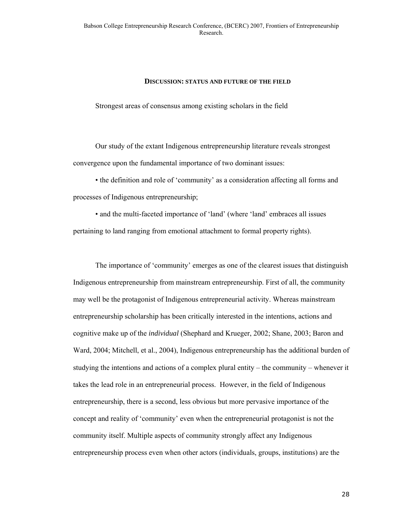#### **DISCUSSION: STATUS AND FUTURE OF THE FIELD**

Strongest areas of consensus among existing scholars in the field

Our study of the extant Indigenous entrepreneurship literature reveals strongest convergence upon the fundamental importance of two dominant issues:

• the definition and role of 'community' as a consideration affecting all forms and processes of Indigenous entrepreneurship;

• and the multi-faceted importance of 'land' (where 'land' embraces all issues pertaining to land ranging from emotional attachment to formal property rights).

The importance of 'community' emerges as one of the clearest issues that distinguish Indigenous entrepreneurship from mainstream entrepreneurship. First of all, the community may well be the protagonist of Indigenous entrepreneurial activity. Whereas mainstream entrepreneurship scholarship has been critically interested in the intentions, actions and cognitive make up of the *individual* (Shephard and Krueger, 2002; Shane, 2003; Baron and Ward, 2004; Mitchell, et al., 2004), Indigenous entrepreneurship has the additional burden of studying the intentions and actions of a complex plural entity – the community – whenever it takes the lead role in an entrepreneurial process. However, in the field of Indigenous entrepreneurship, there is a second, less obvious but more pervasive importance of the concept and reality of 'community' even when the entrepreneurial protagonist is not the community itself. Multiple aspects of community strongly affect any Indigenous entrepreneurship process even when other actors (individuals, groups, institutions) are the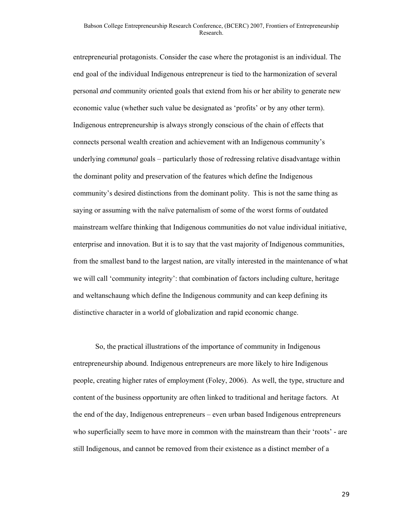entrepreneurial protagonists. Consider the case where the protagonist is an individual. The end goal of the individual Indigenous entrepreneur is tied to the harmonization of several personal *and* community oriented goals that extend from his or her ability to generate new economic value (whether such value be designated as 'profits' or by any other term). Indigenous entrepreneurship is always strongly conscious of the chain of effects that connects personal wealth creation and achievement with an Indigenous community's underlying *communal* goals – particularly those of redressing relative disadvantage within the dominant polity and preservation of the features which define the Indigenous community's desired distinctions from the dominant polity. This is not the same thing as saying or assuming with the naïve paternalism of some of the worst forms of outdated mainstream welfare thinking that Indigenous communities do not value individual initiative, enterprise and innovation. But it is to say that the vast majority of Indigenous communities, from the smallest band to the largest nation, are vitally interested in the maintenance of what we will call 'community integrity': that combination of factors including culture, heritage and weltanschaung which define the Indigenous community and can keep defining its distinctive character in a world of globalization and rapid economic change.

So, the practical illustrations of the importance of community in Indigenous entrepreneurship abound. Indigenous entrepreneurs are more likely to hire Indigenous people, creating higher rates of employment (Foley, 2006). As well, the type, structure and content of the business opportunity are often linked to traditional and heritage factors. At the end of the day, Indigenous entrepreneurs – even urban based Indigenous entrepreneurs who superficially seem to have more in common with the mainstream than their 'roots' - are still Indigenous, and cannot be removed from their existence as a distinct member of a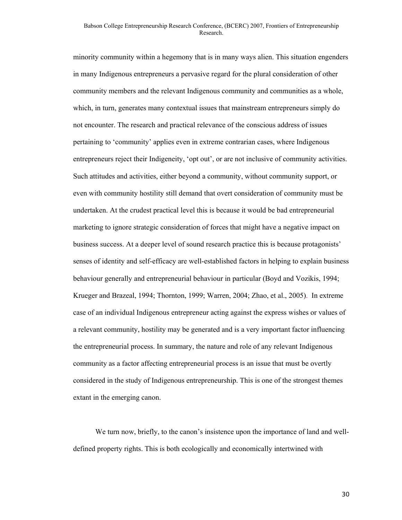minority community within a hegemony that is in many ways alien. This situation engenders in many Indigenous entrepreneurs a pervasive regard for the plural consideration of other community members and the relevant Indigenous community and communities as a whole, which, in turn, generates many contextual issues that mainstream entrepreneurs simply do not encounter. The research and practical relevance of the conscious address of issues pertaining to 'community' applies even in extreme contrarian cases, where Indigenous entrepreneurs reject their Indigeneity, 'opt out', or are not inclusive of community activities. Such attitudes and activities, either beyond a community, without community support, or even with community hostility still demand that overt consideration of community must be undertaken. At the crudest practical level this is because it would be bad entrepreneurial marketing to ignore strategic consideration of forces that might have a negative impact on business success. At a deeper level of sound research practice this is because protagonists' senses of identity and self-efficacy are well-established factors in helping to explain business behaviour generally and entrepreneurial behaviour in particular (Boyd and Vozikis, 1994; Krueger and Brazeal, 1994; Thornton, 1999; Warren, 2004; Zhao, et al., 2005). In extreme case of an individual Indigenous entrepreneur acting against the express wishes or values of a relevant community, hostility may be generated and is a very important factor influencing the entrepreneurial process. In summary, the nature and role of any relevant Indigenous community as a factor affecting entrepreneurial process is an issue that must be overtly considered in the study of Indigenous entrepreneurship. This is one of the strongest themes extant in the emerging canon.

We turn now, briefly, to the canon's insistence upon the importance of land and welldefined property rights. This is both ecologically and economically intertwined with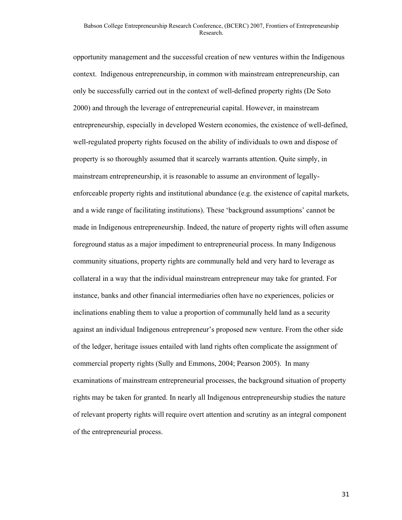opportunity management and the successful creation of new ventures within the Indigenous context. Indigenous entrepreneurship, in common with mainstream entrepreneurship, can only be successfully carried out in the context of well-defined property rights (De Soto 2000) and through the leverage of entrepreneurial capital. However, in mainstream entrepreneurship, especially in developed Western economies, the existence of well-defined, well-regulated property rights focused on the ability of individuals to own and dispose of property is so thoroughly assumed that it scarcely warrants attention. Quite simply, in mainstream entrepreneurship, it is reasonable to assume an environment of legallyenforceable property rights and institutional abundance (e.g. the existence of capital markets, and a wide range of facilitating institutions). These 'background assumptions' cannot be made in Indigenous entrepreneurship. Indeed, the nature of property rights will often assume foreground status as a major impediment to entrepreneurial process. In many Indigenous community situations, property rights are communally held and very hard to leverage as collateral in a way that the individual mainstream entrepreneur may take for granted. For instance, banks and other financial intermediaries often have no experiences, policies or inclinations enabling them to value a proportion of communally held land as a security against an individual Indigenous entrepreneur's proposed new venture. From the other side of the ledger, heritage issues entailed with land rights often complicate the assignment of commercial property rights (Sully and Emmons, 2004; Pearson 2005). In many examinations of mainstream entrepreneurial processes, the background situation of property rights may be taken for granted. In nearly all Indigenous entrepreneurship studies the nature of relevant property rights will require overt attention and scrutiny as an integral component of the entrepreneurial process.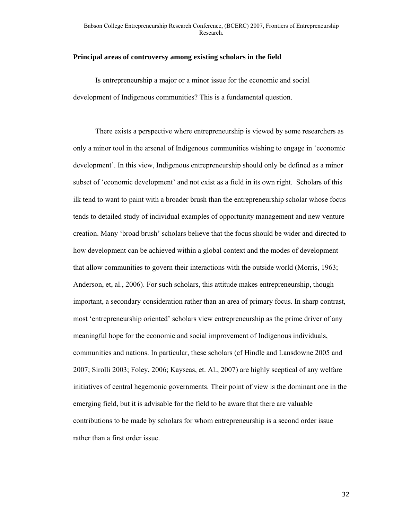#### **Principal areas of controversy among existing scholars in the field**

Is entrepreneurship a major or a minor issue for the economic and social development of Indigenous communities? This is a fundamental question.

There exists a perspective where entrepreneurship is viewed by some researchers as only a minor tool in the arsenal of Indigenous communities wishing to engage in 'economic development'. In this view, Indigenous entrepreneurship should only be defined as a minor subset of 'economic development' and not exist as a field in its own right. Scholars of this ilk tend to want to paint with a broader brush than the entrepreneurship scholar whose focus tends to detailed study of individual examples of opportunity management and new venture creation. Many 'broad brush' scholars believe that the focus should be wider and directed to how development can be achieved within a global context and the modes of development that allow communities to govern their interactions with the outside world (Morris, 1963; Anderson, et, al., 2006). For such scholars, this attitude makes entrepreneurship, though important, a secondary consideration rather than an area of primary focus. In sharp contrast, most 'entrepreneurship oriented' scholars view entrepreneurship as the prime driver of any meaningful hope for the economic and social improvement of Indigenous individuals, communities and nations. In particular, these scholars (cf Hindle and Lansdowne 2005 and 2007; Sirolli 2003; Foley, 2006; Kayseas, et. Al., 2007) are highly sceptical of any welfare initiatives of central hegemonic governments. Their point of view is the dominant one in the emerging field, but it is advisable for the field to be aware that there are valuable contributions to be made by scholars for whom entrepreneurship is a second order issue rather than a first order issue.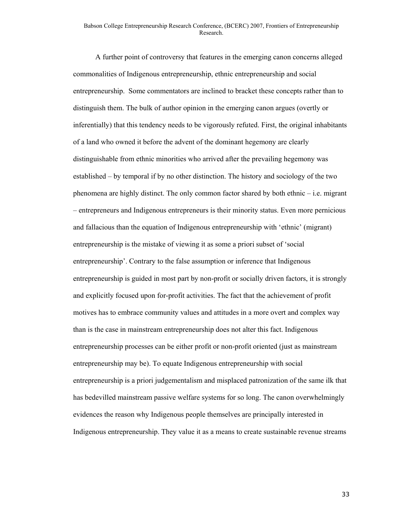A further point of controversy that features in the emerging canon concerns alleged commonalities of Indigenous entrepreneurship, ethnic entrepreneurship and social entrepreneurship. Some commentators are inclined to bracket these concepts rather than to distinguish them. The bulk of author opinion in the emerging canon argues (overtly or inferentially) that this tendency needs to be vigorously refuted. First, the original inhabitants of a land who owned it before the advent of the dominant hegemony are clearly distinguishable from ethnic minorities who arrived after the prevailing hegemony was established – by temporal if by no other distinction. The history and sociology of the two phenomena are highly distinct. The only common factor shared by both ethnic – i.e. migrant – entrepreneurs and Indigenous entrepreneurs is their minority status. Even more pernicious and fallacious than the equation of Indigenous entrepreneurship with 'ethnic' (migrant) entrepreneurship is the mistake of viewing it as some a priori subset of 'social entrepreneurship'. Contrary to the false assumption or inference that Indigenous entrepreneurship is guided in most part by non-profit or socially driven factors, it is strongly and explicitly focused upon for-profit activities. The fact that the achievement of profit motives has to embrace community values and attitudes in a more overt and complex way than is the case in mainstream entrepreneurship does not alter this fact. Indigenous entrepreneurship processes can be either profit or non-profit oriented (just as mainstream entrepreneurship may be). To equate Indigenous entrepreneurship with social entrepreneurship is a priori judgementalism and misplaced patronization of the same ilk that has bedevilled mainstream passive welfare systems for so long. The canon overwhelmingly evidences the reason why Indigenous people themselves are principally interested in Indigenous entrepreneurship. They value it as a means to create sustainable revenue streams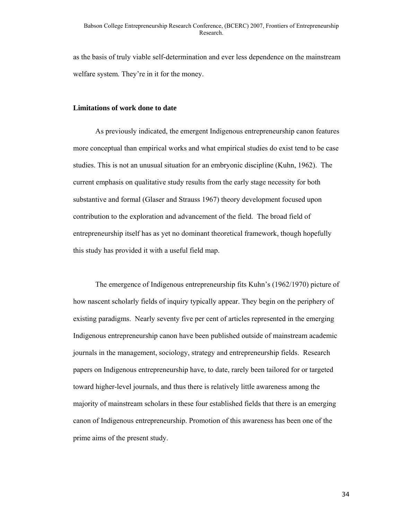as the basis of truly viable self-determination and ever less dependence on the mainstream welfare system. They're in it for the money.

#### **Limitations of work done to date**

As previously indicated, the emergent Indigenous entrepreneurship canon features more conceptual than empirical works and what empirical studies do exist tend to be case studies. This is not an unusual situation for an embryonic discipline (Kuhn, 1962). The current emphasis on qualitative study results from the early stage necessity for both substantive and formal (Glaser and Strauss 1967) theory development focused upon contribution to the exploration and advancement of the field. The broad field of entrepreneurship itself has as yet no dominant theoretical framework, though hopefully this study has provided it with a useful field map.

The emergence of Indigenous entrepreneurship fits Kuhn's (1962/1970) picture of how nascent scholarly fields of inquiry typically appear. They begin on the periphery of existing paradigms. Nearly seventy five per cent of articles represented in the emerging Indigenous entrepreneurship canon have been published outside of mainstream academic journals in the management, sociology, strategy and entrepreneurship fields. Research papers on Indigenous entrepreneurship have, to date, rarely been tailored for or targeted toward higher-level journals, and thus there is relatively little awareness among the majority of mainstream scholars in these four established fields that there is an emerging canon of Indigenous entrepreneurship. Promotion of this awareness has been one of the prime aims of the present study.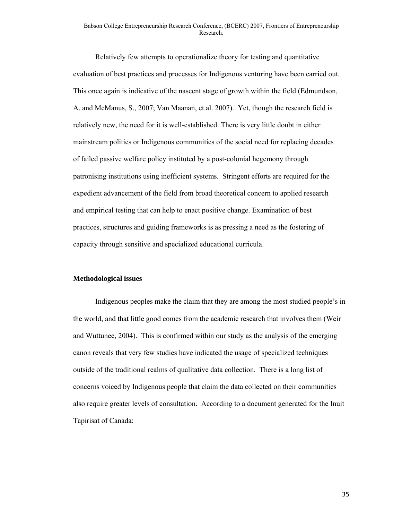#### Babson College Entrepreneurship Research Conference, (BCERC) 2007, Frontiers of Entrepreneurship Research.

Relatively few attempts to operationalize theory for testing and quantitative evaluation of best practices and processes for Indigenous venturing have been carried out. This once again is indicative of the nascent stage of growth within the field (Edmundson, A. and McManus, S., 2007; Van Maanan, et.al. 2007). Yet, though the research field is relatively new, the need for it is well-established. There is very little doubt in either mainstream polities or Indigenous communities of the social need for replacing decades of failed passive welfare policy instituted by a post-colonial hegemony through patronising institutions using inefficient systems. Stringent efforts are required for the expedient advancement of the field from broad theoretical concern to applied research and empirical testing that can help to enact positive change. Examination of best practices, structures and guiding frameworks is as pressing a need as the fostering of capacity through sensitive and specialized educational curricula.

#### **Methodological issues**

Indigenous peoples make the claim that they are among the most studied people's in the world, and that little good comes from the academic research that involves them (Weir and Wuttunee, 2004). This is confirmed within our study as the analysis of the emerging canon reveals that very few studies have indicated the usage of specialized techniques outside of the traditional realms of qualitative data collection. There is a long list of concerns voiced by Indigenous people that claim the data collected on their communities also require greater levels of consultation. According to a document generated for the Inuit Tapirisat of Canada: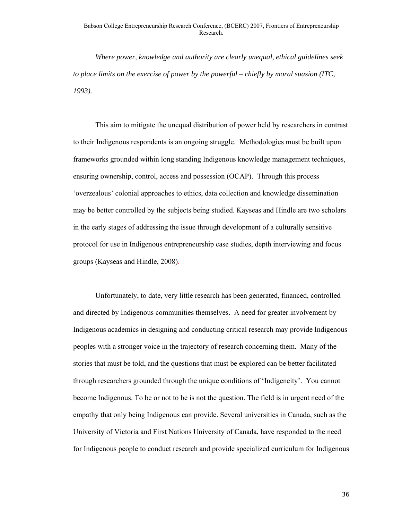*Where power, knowledge and authority are clearly unequal, ethical guidelines seek to place limits on the exercise of power by the powerful – chiefly by moral suasion (ITC, 1993).* 

This aim to mitigate the unequal distribution of power held by researchers in contrast to their Indigenous respondents is an ongoing struggle. Methodologies must be built upon frameworks grounded within long standing Indigenous knowledge management techniques, ensuring ownership, control, access and possession (OCAP). Through this process 'overzealous' colonial approaches to ethics, data collection and knowledge dissemination may be better controlled by the subjects being studied. Kayseas and Hindle are two scholars in the early stages of addressing the issue through development of a culturally sensitive protocol for use in Indigenous entrepreneurship case studies, depth interviewing and focus groups (Kayseas and Hindle, 2008).

Unfortunately, to date, very little research has been generated, financed, controlled and directed by Indigenous communities themselves. A need for greater involvement by Indigenous academics in designing and conducting critical research may provide Indigenous peoples with a stronger voice in the trajectory of research concerning them. Many of the stories that must be told, and the questions that must be explored can be better facilitated through researchers grounded through the unique conditions of 'Indigeneity'. You cannot become Indigenous. To be or not to be is not the question. The field is in urgent need of the empathy that only being Indigenous can provide. Several universities in Canada, such as the University of Victoria and First Nations University of Canada, have responded to the need for Indigenous people to conduct research and provide specialized curriculum for Indigenous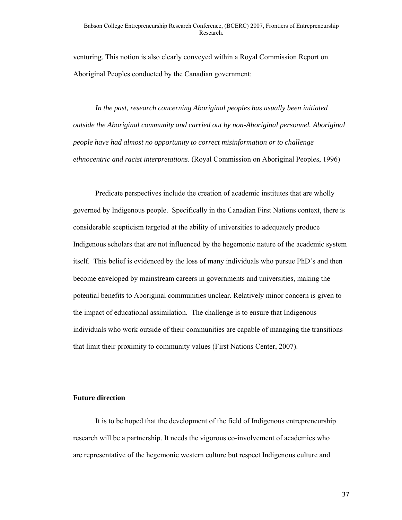venturing. This notion is also clearly conveyed within a Royal Commission Report on Aboriginal Peoples conducted by the Canadian government:

*In the past, research concerning Aboriginal peoples has usually been initiated outside the Aboriginal community and carried out by non-Aboriginal personnel. Aboriginal people have had almost no opportunity to correct misinformation or to challenge ethnocentric and racist interpretations*. (Royal Commission on Aboriginal Peoples, 1996)

Predicate perspectives include the creation of academic institutes that are wholly governed by Indigenous people. Specifically in the Canadian First Nations context, there is considerable scepticism targeted at the ability of universities to adequately produce Indigenous scholars that are not influenced by the hegemonic nature of the academic system itself. This belief is evidenced by the loss of many individuals who pursue PhD's and then become enveloped by mainstream careers in governments and universities, making the potential benefits to Aboriginal communities unclear. Relatively minor concern is given to the impact of educational assimilation. The challenge is to ensure that Indigenous individuals who work outside of their communities are capable of managing the transitions that limit their proximity to community values (First Nations Center, 2007).

#### **Future direction**

It is to be hoped that the development of the field of Indigenous entrepreneurship research will be a partnership. It needs the vigorous co-involvement of academics who are representative of the hegemonic western culture but respect Indigenous culture and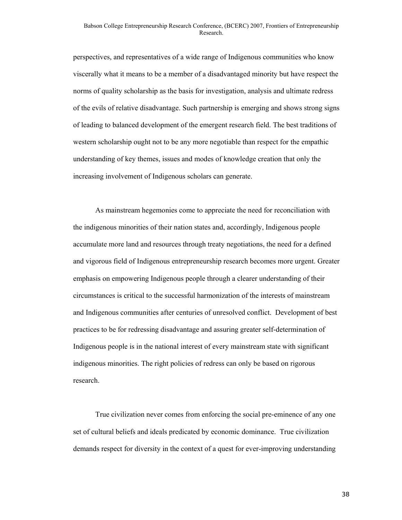perspectives, and representatives of a wide range of Indigenous communities who know viscerally what it means to be a member of a disadvantaged minority but have respect the norms of quality scholarship as the basis for investigation, analysis and ultimate redress of the evils of relative disadvantage. Such partnership is emerging and shows strong signs of leading to balanced development of the emergent research field. The best traditions of western scholarship ought not to be any more negotiable than respect for the empathic understanding of key themes, issues and modes of knowledge creation that only the increasing involvement of Indigenous scholars can generate.

As mainstream hegemonies come to appreciate the need for reconciliation with the indigenous minorities of their nation states and, accordingly, Indigenous people accumulate more land and resources through treaty negotiations, the need for a defined and vigorous field of Indigenous entrepreneurship research becomes more urgent. Greater emphasis on empowering Indigenous people through a clearer understanding of their circumstances is critical to the successful harmonization of the interests of mainstream and Indigenous communities after centuries of unresolved conflict. Development of best practices to be for redressing disadvantage and assuring greater self-determination of Indigenous people is in the national interest of every mainstream state with significant indigenous minorities. The right policies of redress can only be based on rigorous research.

True civilization never comes from enforcing the social pre-eminence of any one set of cultural beliefs and ideals predicated by economic dominance. True civilization demands respect for diversity in the context of a quest for ever-improving understanding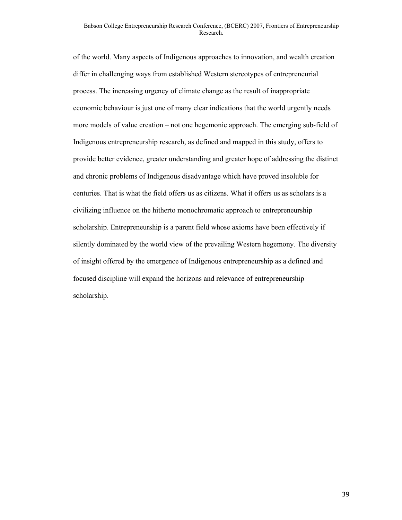of the world. Many aspects of Indigenous approaches to innovation, and wealth creation differ in challenging ways from established Western stereotypes of entrepreneurial process. The increasing urgency of climate change as the result of inappropriate economic behaviour is just one of many clear indications that the world urgently needs more models of value creation – not one hegemonic approach. The emerging sub-field of Indigenous entrepreneurship research, as defined and mapped in this study, offers to provide better evidence, greater understanding and greater hope of addressing the distinct and chronic problems of Indigenous disadvantage which have proved insoluble for centuries. That is what the field offers us as citizens. What it offers us as scholars is a civilizing influence on the hitherto monochromatic approach to entrepreneurship scholarship. Entrepreneurship is a parent field whose axioms have been effectively if silently dominated by the world view of the prevailing Western hegemony. The diversity of insight offered by the emergence of Indigenous entrepreneurship as a defined and focused discipline will expand the horizons and relevance of entrepreneurship scholarship.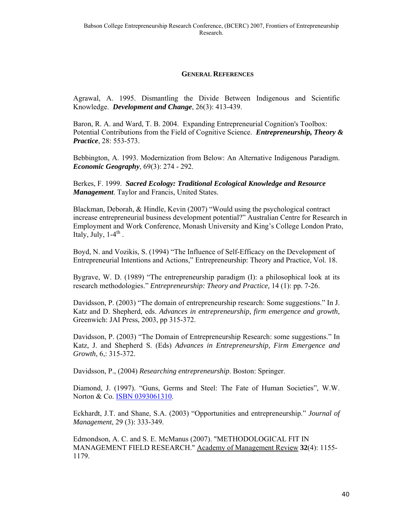#### **GENERAL REFERENCES**

Agrawal, A. 1995. Dismantling the Divide Between Indigenous and Scientific Knowledge. *Development and Change*, 26(3): 413-439.

Baron, R. A. and Ward, T. B. 2004. Expanding Entrepreneurial Cognition's Toolbox: Potential Contributions from the Field of Cognitive Science. *Entrepreneurship, Theory & Practice*, 28: 553-573.

Bebbington, A. 1993. Modernization from Below: An Alternative Indigenous Paradigm. *Economic Geography*, 69(3): 274 - 292.

Berkes, F. 1999. *Sacred Ecology: Traditional Ecological Knowledge and Resource Management*. Taylor and Francis, United States.

Blackman, Deborah, & Hindle, Kevin (2007) "Would using the psychological contract increase entrepreneurial business development potential?" Australian Centre for Research in Employment and Work Conference, Monash University and King's College London Prato, Italy, July,  $1-4^{\text{th}}$ .

Boyd, N. and Vozikis, S. (1994) "The Influence of Self-Efficacy on the Development of Entrepreneurial Intentions and Actions," Entrepreneurship: Theory and Practice, Vol. 18.

Bygrave, W. D. (1989) "The entrepreneurship paradigm (I): a philosophical look at its research methodologies." *Entrepreneurship: Theory and Practice,* 14 (1): pp. 7-26.

Davidsson, P. (2003) "The domain of entrepreneurship research: Some suggestions." In J. Katz and D. Shepherd, eds. *Advances in entrepreneurship, firm emergence and growth*, Greenwich: JAI Press, 2003, pp 315-372.

Davidsson, P. (2003) "The Domain of Entrepreneurship Research: some suggestions." In Katz, J. and Shepherd S. (Eds) *Advances in Entrepreneurship, Firm Emergence and Growth*, 6,: 315-372.

Davidsson, P., (2004) *Researching entrepreneurship*. Boston: Springer.

Diamond, J. (1997). "Guns, Germs and Steel: The Fate of Human Societies", W.W. Norton & Co. ISBN 0393061310.

Eckhardt, J.T. and Shane, S.A. (2003) "Opportunities and entrepreneurship." *Journal of Management*, 29 (3): 333-349.

Edmondson, A. C. and S. E. McManus (2007). "METHODOLOGICAL FIT IN MANAGEMENT FIELD RESEARCH." Academy of Management Review **32**(4): 1155- 1179.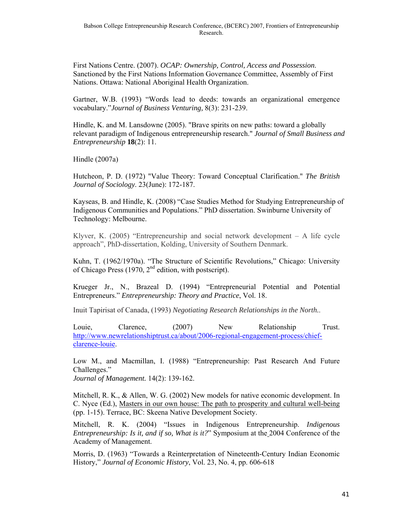First Nations Centre. (2007). *OCAP: Ownership, Control, Access and Possession*. Sanctioned by the First Nations Information Governance Committee, Assembly of First Nations. Ottawa: National Aboriginal Health Organization.

Gartner, W.B. (1993) "Words lead to deeds: towards an organizational emergence vocabulary."*Journal of Business Venturing,* 8(3): 231-239.

Hindle, K. and M. Lansdowne (2005). "Brave spirits on new paths: toward a globally relevant paradigm of Indigenous entrepreneurship research." *Journal of Small Business and Entrepreneurship* **18**(2): 11.

Hindle (2007a)

Hutcheon, P. D. (1972) "Value Theory: Toward Conceptual Clarification." *The British Journal of Sociology*. 23(June): 172-187.

Kayseas, B. and Hindle, K. (2008) "Case Studies Method for Studying Entrepreneurship of Indigenous Communities and Populations." PhD dissertation. Swinburne University of Technology: Melbourne.

Klyver, K. (2005) "Entrepreneurship and social network development  $-$  A life cycle approach", PhD-dissertation, Kolding, University of Southern Denmark.

Kuhn, T. (1962/1970a). "The Structure of Scientific Revolutions," Chicago: University of Chicago Press (1970,  $2<sup>nd</sup>$  edition, with postscript).

Krueger Jr., N., Brazeal D. (1994) "Entrepreneurial Potential and Potential Entrepreneurs." *Entrepreneurship: Theory and Practice*, Vol. 18.

Inuit Tapirisat of Canada, (1993) *Negotiating Research Relationships in the North.*.

Louie, Clarence, (2007) New Relationship Trust. http://www.newrelationshiptrust.ca/about/2006-regional-engagement-process/chiefclarence-louie.

Low M., and Macmillan, I. (1988) "Entrepreneurship: Past Research And Future Challenges."

*Journal of Management.* 14(2): 139-162.

Mitchell, R. K., & Allen, W. G. (2002) New models for native economic development. In C. Nyce (Ed.), Masters in our own house: The path to prosperity and cultural well-being (pp. 1-15). Terrace, BC: Skeena Native Development Society.

Mitchell, R. K. (2004) "Issues in Indigenous Entrepreneurship. *Indigenous Entrepreneurship: Is it, and if so, What is it?*" Symposium at the 2004 Conference of the Academy of Management.

Morris, D. (1963) "Towards a Reinterpretation of Nineteenth-Century Indian Economic History," *Journal of Economic History*, Vol. 23, No. 4, pp. 606-618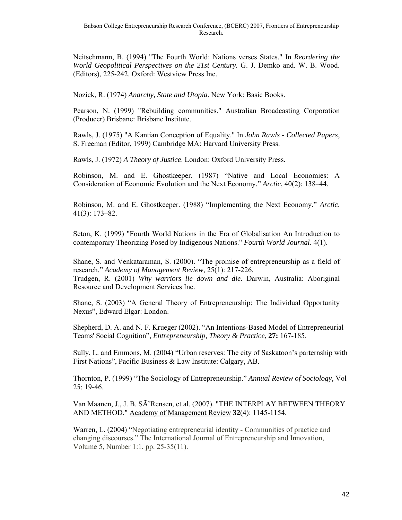Neitschmann, B. (1994) "The Fourth World: Nations verses States." In *Reordering the World Geopolitical Perspectives on the 21st Century.* G. J. Demko and. W. B. Wood. (Editors), 225-242. Oxford: Westview Press Inc.

Nozick, R. (1974) *Anarchy, State and Utopia*. New York: Basic Books.

Pearson, N. (1999) "Rebuilding communities." Australian Broadcasting Corporation (Producer) Brisbane: Brisbane Institute.

Rawls, J. (1975) "A Kantian Conception of Equality." In *John Rawls - Collected Papers*, S. Freeman (Editor, 1999) Cambridge MA: Harvard University Press.

Rawls, J. (1972) *A Theory of Justice*. London: Oxford University Press.

Robinson, M. and E. Ghostkeeper. (1987) "Native and Local Economies: A Consideration of Economic Evolution and the Next Economy." *Arctic*, 40(2): 138–44.

Robinson, M. and E. Ghostkeeper. (1988) "Implementing the Next Economy." *Arctic*, 41(3): 173–82.

Seton, K. (1999) "Fourth World Nations in the Era of Globalisation An Introduction to contemporary Theorizing Posed by Indigenous Nations." *Fourth World Journal*. 4(1).

Shane, S. and Venkataraman, S. (2000). "The promise of entrepreneurship as a field of research." *Academy of Management Review*, 25(1): 217-226. Trudgen, R. (2001) *Why warriors lie down and die*. Darwin, Australia: Aboriginal Resource and Development Services Inc.

Shane, S. (2003) "A General Theory of Entrepreneurship: The Individual Opportunity Nexus", Edward Elgar: London.

Shepherd, D. A. and N. F. Krueger (2002). "An Intentions-Based Model of Entrepreneurial Teams' Social Cognition", *Entrepreneurship, Theory & Practice*, **27:** 167-185.

Sully, L. and Emmons, M. (2004) "Urban reserves: The city of Saskatoon's parternship with First Nations", Pacific Business & Law Institute: Calgary, AB.

Thornton, P. (1999) "The Sociology of Entrepreneurship." *Annual Review of Sociology,* Vol 25: 19-46.

Van Maanen, J., J. B. SÃ Rensen, et al. (2007). "THE INTERPLAY BETWEEN THEORY AND METHOD." Academy of Management Review **32**(4): 1145-1154.

Warren, L. (2004) "Negotiating entrepreneurial identity - Communities of practice and changing discourses." The International Journal of Entrepreneurship and Innovation, Volume 5, Number 1:1, pp. 25-35(11).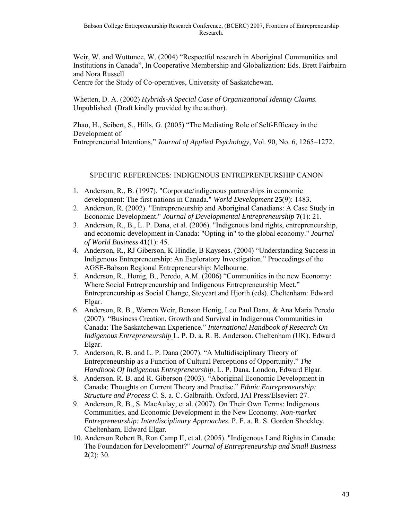Weir, W. and Wuttunee, W. (2004) "Respectful research in Aboriginal Communities and Institutions in Canada", In Cooperative Membership and Globalization: Eds. Brett Fairbairn and Nora Russell

Centre for the Study of Co-operatives, University of Saskatchewan.

Whetten, D. A. (2002) *Hybrids-A Special Case of Organizational Identity Claims*. Unpublished. (Draft kindly provided by the author).

Zhao, H., Seibert, S., Hills, G. (2005) "The Mediating Role of Self-Efficacy in the Development of

Entrepreneurial Intentions," *Journal of Applied Psychology*, Vol. 90, No. 6, 1265–1272.

#### SPECIFIC REFERENCES: INDIGENOUS ENTREPRENEURSHIP CANON

- 1. Anderson, R., B. (1997). "Corporate/indigenous partnerships in economic development: The first nations in Canada." *World Development* **25**(9): 1483.
- 2. Anderson, R. (2002). "Entrepreneurship and Aboriginal Canadians: A Case Study in Economic Development." *Journal of Developmental Entrepreneurship* **7**(1): 21.
- 3. Anderson, R., B., L. P. Dana, et al. (2006). "Indigenous land rights, entrepreneurship, and economic development in Canada: "Opting-in" to the global economy." *Journal of World Business* **41**(1): 45.
- 4. Anderson, R., RJ Giberson, K Hindle, B Kayseas. (2004) "Understanding Success in Indigenous Entrepreneurship: An Exploratory Investigation." Proceedings of the AGSE-Babson Regional Entrepreneurship: Melbourne.
- 5. Anderson, R., Honig, B., Peredo, A.M. (2006) "Communities in the new Economy: Where Social Entrepreneurship and Indigenous Entrepreneurship Meet." Entrepreneurship as Social Change, Steyeart and Hjorth (eds). Cheltenham: Edward Elgar.
- 6. Anderson, R. B., Warren Weir, Benson Honig, Leo Paul Dana, & Ana Maria Peredo (2007). "Business Creation, Growth and Survival in Indigenous Communities in Canada: The Saskatchewan Experience." *International Handbook of Research On Indigenous Entrepreneurship* L. P. D. a. R. B. Anderson. Cheltenham (UK). Edward Elgar.
- 7. Anderson, R. B. and L. P. Dana (2007). "A Multidisciplinary Theory of Entrepreneurship as a Function of Cultural Perceptions of Opportunity." *The Handbook Of Indigenous Entrepreneurship*. L. P. Dana. London, Edward Elgar.
- 8. Anderson, R. B. and R. Giberson (2003). "Aboriginal Economic Development in Canada: Thoughts on Current Theory and Practise." *Ethnic Entrepreneurship: Structure and Process* C. S. a. C. Galbraith. Oxford, JAI Press/Elsevier**:** 27.
- 9. Anderson, R. B., S. MacAulay, et al. (2007). On Their Own Terms: Indigenous Communities, and Economic Development in the New Economy. *Non-market Entrepreneurship: Interdisciplinary Approaches*. P. F. a. R. S. Gordon Shockley. Cheltenham, Edward Elgar.
- 10. Anderson Robert B, Ron Camp II, et al. (2005). "Indigenous Land Rights in Canada: The Foundation for Development?" *Journal of Entrepreneurship and Small Business* **2**(2): 30.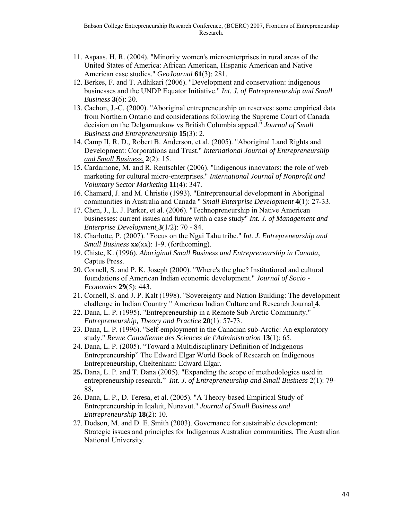- 11. Aspaas, H. R. (2004). "Minority women's microenterprises in rural areas of the United States of America: African American, Hispanic American and Native American case studies." *GeoJournal* **61**(3): 281.
- 12. Berkes, F. and T. Adhikari (2006). "Development and conservation: indigenous businesses and the UNDP Equator Initiative." *Int. J. of Entrepreneurship and Small Business* **3**(6): 20.
- 13. Cachon, J.-C. (2000). "Aboriginal entrepreneurship on reserves: some empirical data from Northern Ontario and considerations following the Supreme Court of Canada decision on the Delgamuukuw vs British Columbia appeal." *Journal of Small Business and Entrepreneurship* **15**(3): 2.
- 14. Camp II, R. D., Robert B. Anderson, et al. (2005). "Aboriginal Land Rights and Development: Corporations and Trust." *International Journal of Entrepreneurship and Small Business*, **2**(2): 15.
- 15. Cardamone, M. and R. Rentschler (2006). "Indigenous innovators: the role of web marketing for cultural micro-enterprises." *International Journal of Nonprofit and Voluntary Sector Marketing* **11**(4): 347.
- 16. Chamard, J. and M. Christie (1993). "Entrepreneurial development in Aboriginal communities in Australia and Canada " *Small Enterprise Development* **4**(1): 27-33.
- 17. Chen, J., L. J. Parker, et al. (2006). "Technopreneurship in Native American businesses: current issues and future with a case study" *Int. J. of Management and Enterprise Development* **3**(1/2): 70 - 84.
- 18. Charlotte, P. (2007). "Focus on the Ngai Tahu tribe." *Int. J. Entrepreneurship and Small Business* **xx**(xx): 1-9. (forthcoming).
- 19. Chiste, K. (1996). *Aboriginal Small Business and Entrepreneurship in Canada*, Captus Press.
- 20. Cornell, S. and P. K. Joseph (2000). "Where's the glue? Institutional and cultural foundations of American Indian economic development." *Journal of Socio - Economics* **29**(5): 443.
- 21. Cornell, S. and J. P. Kalt (1998). "Sovereignty and Nation Building: The development challenge in Indian Country " American Indian Culture and Research Journal **4**.
- 22. Dana, L. P. (1995). "Entrepreneurship in a Remote Sub Arctic Community." *Entrepreneurship, Theory and Practice* **20**(1): 57-73.
- 23. Dana, L. P. (1996). "Self-employment in the Canadian sub-Arctic: An exploratory study." *Revue Canadienne des Sciences de l'Administration* **13**(1): 65.
- 24. Dana, L. P. (2005). "Toward a Multidisciplinary Definition of Indigenous Entrepreneurship" The Edward Elgar World Book of Research on Indigenous Entrepreneurship, Cheltenham: Edward Elgar.
- **25.** Dana, L. P. and T. Dana (2005). "Expanding the scope of methodologies used in entrepreneurship research." *Int. J. of Entrepreneurship and Small Business* 2(1): 79**-** 88**.**
- 26. Dana, L. P., D. Teresa, et al. (2005). "A Theory-based Empirical Study of Entrepreneurship in Iqaluit, Nunavut." *Journal of Small Business and Entrepreneurship* **18**(2): 10.
- 27. Dodson, M. and D. E. Smith (2003). Governance for sustainable development: Strategic issues and principles for Indigenous Australian communities, The Australian National University.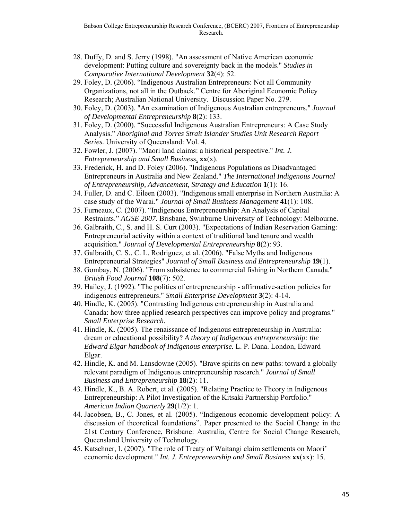- 28. Duffy, D. and S. Jerry (1998). "An assessment of Native American economic development: Putting culture and sovereignty back in the models." *Studies in Comparative International Development* **32**(4): 52.
- 29. Foley, D. (2006). "Indigenous Australian Entrepreneurs: Not all Community Organizations, not all in the Outback." Centre for Aboriginal Economic Policy Research; Australian National University. Discussion Paper No. 279.
- 30. Foley, D. (2003). "An examination of Indigenous Australian entrepreneurs." *Journal of Developmental Entrepreneurship* **8**(2): 133.
- 31. Foley, D. (2000). "Successful Indigenous Australian Entrepreneurs: A Case Study Analysis." *Aboriginal and Torres Strait Islander Studies Unit Research Report Series.* University of Queensland: Vol. 4.
- 32. Fowler, J. (2007). "Maori land claims: a historical perspective." *Int. J. Entrepreneurship and Small Business*, **xx**(x).
- 33. Frederick, H. and D. Foley (2006). "Indigenous Populations as Disadvantaged Entrepreneurs in Australia and New Zealand." *The International Indigenous Journal of Entrepreneurship, Advancement, Strategy and Education* **1**(1): 16.
- 34. Fuller, D. and C. Eileen (2003). "Indigenous small enterprise in Northern Australia: A case study of the Warai." *Journal of Small Business Management* **41**(1): 108.
- 35. Furneaux, C. (2007). "Indigenous Entrepreneurship: An Analysis of Capital Restraints." *AGSE 2007*. Brisbane, Swinburne University of Technology: Melbourne.
- 36. Galbraith, C., S. and H. S. Curt (2003). "Expectations of Indian Reservation Gaming: Entrepreneurial activity within a context of traditional land tenure and wealth acquisition." *Journal of Developmental Entrepreneurship* **8**(2): 93.
- 37. Galbraith, C. S., C. L. Rodriguez, et al. (2006). "False Myths and Indigenous Entrepreneurial Strategies" *Journal of Small Business and Entrepreneurship* **19**(1).
- 38. Gombay, N. (2006). "From subsistence to commercial fishing in Northern Canada." *British Food Journal* **108**(7): 502.
- 39. Hailey, J. (1992). "The politics of entrepreneurship affirmative-action policies for indigenous entrepreneurs." *Small Enterprise Development* **3**(2): 4-14.
- 40. Hindle, K. (2005). "Contrasting Indigenous entrepreneurship in Australia and Canada: how three applied research perspectives can improve policy and programs." *Small Enterprise Research*.
- 41. Hindle, K. (2005). The renaissance of Indigenous entrepreneurship in Australia: dream or educational possibility? *A theory of Indigenous entrepreneurship: the Edward Elgar handbook of Indigenous enterprise.* L. P. Dana. London, Edward Elgar.
- 42. Hindle, K. and M. Lansdowne (2005). "Brave spirits on new paths: toward a globally relevant paradigm of Indigenous entrepreneurship research." *Journal of Small Business and Entrepreneurship* **18**(2): 11.
- 43. Hindle, K., B. A. Robert, et al. (2005). "Relating Practice to Theory in Indigenous Entrepreneurship: A Pilot Investigation of the Kitsaki Partnership Portfolio." *American Indian Quarterly* **29**(1/2): 1.
- 44. Jacobsen, B., C. Jones, et al. (2005). "Indigenous economic development policy: A discussion of theoretical foundations". Paper presented to the Social Change in the 21st Century Conference, Brisbane: Australia, Centre for Social Change Research, Queensland University of Technology.
- 45. Katschner, I. (2007). "The role of Treaty of Waitangi claim settlements on Maori' economic development." *Int. J. Entrepreneurship and Small Business* **xx**(xx): 15.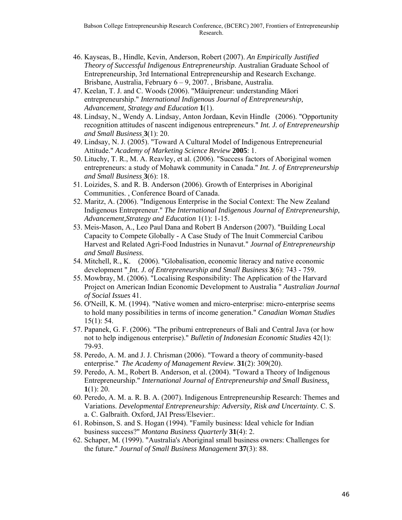- 46. Kayseas, B., Hindle, Kevin, Anderson, Robert (2007). *An Empirically Justified Theory of Successful Indigenous Entrepreneurship*. Australian Graduate School of Entrepreneurship, 3rd International Entrepreneurship and Research Exchange. Brisbane, Australia, February 6 – 9, 2007. , Brisbane, Australia.
- 47. Keelan, T. J. and C. Woods (2006). "Māuipreneur: understanding Māori entrepreneurship." *International Indigenous Journal of Entrepreneurship, Advancement, Strategy and Education* **1**(1).
- 48. Lindsay, N., Wendy A. Lindsay, Anton Jordaan, Kevin Hindle (2006). "Opportunity recognition attitudes of nascent indigenous entrepreneurs." *Int. J. of Entrepreneurship and Small Business* **3**(1): 20.
- 49. Lindsay, N. J. (2005). "Toward A Cultural Model of Indigenous Entrepreneurial Attitude." *Academy of Marketing Science Review* **2005**: 1.
- 50. Lituchy, T. R., M. A. Reavley, et al. (2006). "Success factors of Aboriginal women entrepreneurs: a study of Mohawk community in Canada." *Int. J. of Entrepreneurship and Small Business* **3**(6): 18.
- 51. Loizides, S. and R. B. Anderson (2006). Growth of Enterprises in Aboriginal Communities. , Conference Board of Canada.
- 52. Maritz, A. (2006). "Indigenous Enterprise in the Social Context: The New Zealand Indigenous Entrepreneur." *The International Indigenous Journal of Entrepreneurship, Advancement,Strategy and Education* 1(1): 1-15.
- 53. Meis-Mason, A., Leo Paul Dana and Robert B Anderson (2007). "Building Local Capacity to Compete Globally - A Case Study of The Inuit Commercial Caribou Harvest and Related Agri-Food Industries in Nunavut." *Journal of Entrepreneurship and Small Business*.
- 54. Mitchell, R., K. (2006). "Globalisation, economic literacy and native economic development " *Int. J. of Entrepreneurship and Small Business* **3**(6): 743 - 759.
- 55. Mowbray, M. (2006). "Localising Responsibility: The Application of the Harvard Project on American Indian Economic Development to Australia " *Australian Journal of Social Issues* 41.
- 56. O'Neill, K. M. (1994). "Native women and micro-enterprise: micro-enterprise seems to hold many possibilities in terms of income generation." *Canadian Woman Studies* 15(1): 54.
- 57. Papanek, G. F. (2006). "The pribumi entrepreneurs of Bali and Central Java (or how not to help indigenous enterprise)." *Bulletin of Indonesian Economic Studies* 42(1): 79-93.
- 58. Peredo, A. M. and J. J. Chrisman (2006). "Toward a theory of community-based enterprise." *The Academy of Management Review*. **31**(2): 309(20).
- 59. Peredo, A. M., Robert B. Anderson, et al. (2004). "Toward a Theory of Indigenous Entrepreneurship." *International Journal of Entrepreneurship and Small Business*, **1**(1): 20.
- 60. Peredo, A. M. a. R. B. A. (2007). Indigenous Entrepreneurship Research: Themes and Variations. *Developmental Entrepreneurship: Adversity, Risk and Uncertainty*. C. S. a. C. Galbraith. Oxford, JAI Press/Elsevier:.
- 61. Robinson, S. and S. Hogan (1994). "Family business: Ideal vehicle for Indian business success?" *Montana Business Quarterly* **31**(4): 2.
- 62. Schaper, M. (1999). "Australia's Aboriginal small business owners: Challenges for the future." *Journal of Small Business Management* **37**(3): 88.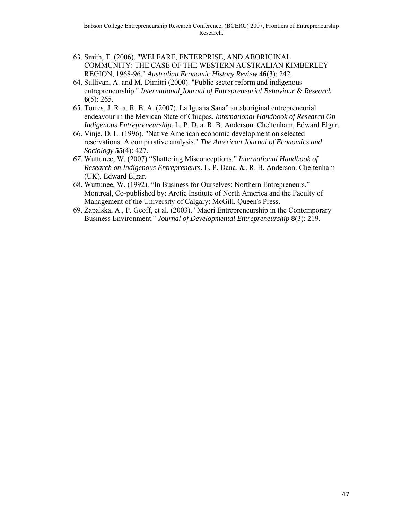- 63. Smith, T. (2006). "WELFARE, ENTERPRISE, AND ABORIGINAL COMMUNITY: THE CASE OF THE WESTERN AUSTRALIAN KIMBERLEY REGION, 1968-96." *Australian Economic History Review* **46**(3): 242.
- 64. Sullivan, A. and M. Dimitri (2000). "Public sector reform and indigenous entrepreneurship." *International Journal of Entrepreneurial Behaviour & Research* **6**(5): 265.
- 65. Torres, J. R. a. R. B. A. (2007). La Iguana Sana" an aboriginal entrepreneurial endeavour in the Mexican State of Chiapas. *International Handbook of Research On Indigenous Entrepreneurship*. L. P. D. a. R. B. Anderson. Cheltenham, Edward Elgar.
- 66. Vinje, D. L. (1996). "Native American economic development on selected reservations: A comparative analysis." *The American Journal of Economics and Sociology* **55**(4): 427.
- *67.* Wuttunee, W. (2007) "Shattering Misconceptions." *International Handbook of Research on Indigenous Entrepreneurs.* L. P. Dana. &. R. B. Anderson. Cheltenham (UK). Edward Elgar.
- 68. Wuttunee, W. (1992). "In Business for Ourselves: Northern Entrepreneurs." Montreal, Co-published by: Arctic Institute of North America and the Faculty of Management of the University of Calgary; McGill, Queen's Press.
- 69. Zapalska, A., P. Geoff, et al. (2003). "Maori Entrepreneurship in the Contemporary Business Environment." *Journal of Developmental Entrepreneurship* **8**(3): 219.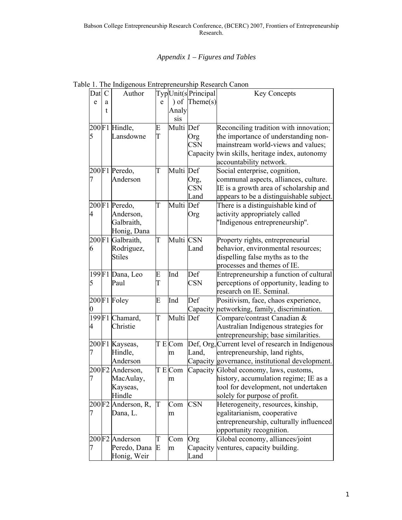### *Appendix 1 – Figures and Tables*

| Dat            | $\mathcal{C}$ | Author             |   |           | TypUnit(sPrincipal | <b>Key Concepts</b>                               |
|----------------|---------------|--------------------|---|-----------|--------------------|---------------------------------------------------|
| e              | a             |                    | e | $\int$ of | Then (s)           |                                                   |
|                | t             |                    |   | Analy     |                    |                                                   |
|                |               |                    |   | sis       |                    |                                                   |
|                |               | 200F1 Hindle,      | E | Multi Def |                    | Reconciling tradition with innovation;            |
| 5              |               | Lansdowne          | T |           | Org                | the importance of understanding non-              |
|                |               |                    |   |           | <b>CSN</b>         | mainstream world-views and values;                |
|                |               |                    |   |           | Capacity           | twin skills, heritage index, autonomy             |
|                |               |                    |   |           |                    | accountability network.                           |
|                |               | 200F1 Peredo,      | T | Multi Def |                    | Social enterprise, cognition,                     |
| 7              |               | Anderson           |   |           | Org,               | communal aspects, alliances, culture.             |
|                |               |                    |   |           | <b>CSN</b>         | IE is a growth area of scholarship and            |
|                |               |                    |   |           | Land               | appears to be a distinguishable subject.          |
|                |               | 200F1 Peredo,      | T | Multi Def |                    | There is a distinguishable kind of                |
| $\overline{4}$ |               | Anderson,          |   |           | Org                | activity appropriately called                     |
|                |               | Galbraith,         |   |           |                    | "Indigenous entrepreneurship".                    |
|                |               | Honig, Dana        |   |           |                    |                                                   |
|                |               | 200F1 Galbraith,   | T | Multi CSN |                    | Property rights, entrepreneurial                  |
| 6              |               | Rodriguez,         |   |           | Land               | behavior, environmental resources;                |
|                |               | <b>Stiles</b>      |   |           |                    | dispelling false myths as to the                  |
|                |               |                    |   |           |                    | processes and themes of IE.                       |
|                |               | 199F1 Dana, Leo    | E | Ind       | Def                | Entrepreneurship a function of cultural           |
| 5              |               | Paul               | T |           | <b>CSN</b>         | perceptions of opportunity, leading to            |
|                |               |                    |   |           |                    | research on IE. Seminal.                          |
|                |               | 200F1 Foley        | E | Ind       | Def                | Positivism, face, chaos experience,               |
| 0              |               |                    |   |           | Capacity           | networking, family, discrimination.               |
|                |               | 199F1 Chamard,     | T | Multi     | Def                | Compare/contrast Canadian &                       |
| 4              |               | Christie           |   |           |                    | Australian Indigenous strategies for              |
|                |               |                    |   |           |                    | entrepreneurship; base similarities.              |
|                |               | 200F1 Kayseas,     |   | TECom     |                    | Def, Org, Current level of research in Indigenous |
| 7              |               | Hindle,            |   | m         | Land,              | entrepreneurship, land rights,                    |
|                |               | Anderson           |   |           |                    | Capacity governance, institutional development.   |
|                |               | 200F2 Anderson,    |   | T E Com   |                    | Capacity Global economy, laws, customs,           |
| 7              |               | MacAulay,          |   | m         |                    | history, accumulation regime; IE as a             |
|                |               | Kayseas,           |   |           |                    | tool for development, not undertaken              |
|                |               | Hindle             |   |           |                    | solely for purpose of profit.                     |
|                |               | 200F2 Anderson, R, | T | Com       | <b>CSN</b>         | Heterogeneity, resources, kinship,                |
| 7              |               | Dana, L.           |   | m         |                    | egalitarianism, cooperative                       |
|                |               |                    |   |           |                    | entrepreneurship, culturally influenced           |
|                |               |                    |   |           |                    | opportunity recognition.                          |
|                |               | 200F2 Anderson     | T | Com       | Org                | Global economy, alliances/joint                   |
|                |               | Peredo, Dana E     |   | m         | Capacity           | ventures, capacity building.                      |
|                |               | Honig, Weir        |   |           | Land               |                                                   |

Table 1. The Indigenous Entrepreneurship Research Canon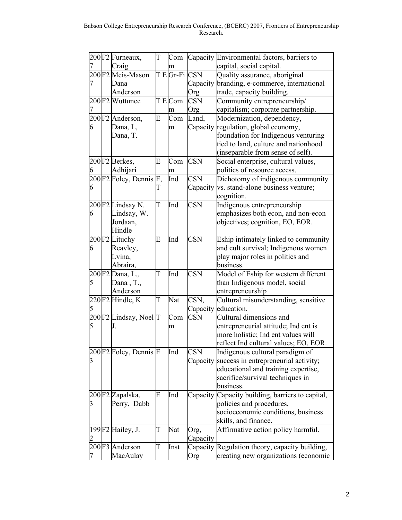|   | 200F2 Furneaux,                                           | T                       | Com       |                  | Capacity Environmental factors, barriers to                                   |
|---|-----------------------------------------------------------|-------------------------|-----------|------------------|-------------------------------------------------------------------------------|
|   | Craig                                                     |                         | m         |                  | capital, social capital.                                                      |
|   | 200F2 Meis-Mason                                          |                         | T E Gr-Fi | <b>CSN</b>       | Quality assurance, aboriginal                                                 |
|   | Dana                                                      |                         |           | Capacity         | branding, e-commerce, international                                           |
|   | Anderson                                                  |                         |           | Org              | trade, capacity building.                                                     |
|   | 200F2 Wuttunee                                            |                         | T E Com   | <b>CSN</b>       | Community entrepreneurship/                                                   |
| 7 |                                                           |                         | m         | Org              | capitalism; corporate partnership.                                            |
|   | 200F2 Anderson,                                           | E                       | Com       | Land,            | Modernization, dependency,                                                    |
| 6 | Dana, L,                                                  |                         | m         | Capacity         | regulation, global economy,                                                   |
|   | Dana, T.                                                  |                         |           |                  | foundation for Indigenous venturing                                           |
|   |                                                           |                         |           |                  | tied to land, culture and nationhood                                          |
|   |                                                           |                         |           |                  | (inseparable from sense of self).                                             |
|   | 200F2 Berkes,                                             | E                       | Com       | <b>CSN</b>       | Social enterprise, cultural values,                                           |
| 6 | Adhijari                                                  |                         | m         |                  | politics of resource access.                                                  |
|   | 200F2 Foley, Dennis E,                                    |                         | Ind       | <b>CSN</b>       | Dichotomy of indigenous community                                             |
| 6 |                                                           | Е                       |           | Capacity         | vs. stand-alone business venture;                                             |
|   |                                                           |                         |           |                  | cognition.                                                                    |
|   | 200F2 Lindsay N.                                          | T                       | Ind       | <b>CSN</b>       | Indigenous entrepreneurship                                                   |
| 6 | Lindsay, W.                                               |                         |           |                  | emphasizes both econ, and non-econ                                            |
|   | Jordaan,                                                  |                         |           |                  | objectives; cognition, EO, EOR.                                               |
|   | Hindle                                                    |                         |           |                  |                                                                               |
|   | 200F2 Lituchy                                             | E                       | Ind       | <b>CSN</b>       | Eship intimately linked to community                                          |
| 6 | Reavley,                                                  |                         |           |                  | and cult survival; Indigenous women                                           |
|   | Lvina,                                                    |                         |           |                  | play major roles in politics and                                              |
|   | Abraira,                                                  |                         |           |                  | business.                                                                     |
|   |                                                           | T                       | Ind       | <b>CSN</b>       | Model of Eship for western different                                          |
|   | $200 \overline{\text{F2} \text{Dana}}$ , L.,<br>Dana, T., |                         |           |                  | than Indigenous model, social                                                 |
|   | Anderson                                                  |                         |           |                  | entrepreneurship                                                              |
|   | $220$ F2 Hindle, K                                        | $\overline{\mathrm{T}}$ | Nat       | CSN,             | Cultural misunderstanding, sensitive                                          |
| 5 |                                                           |                         |           | Capacity         | education.                                                                    |
|   | 200F2 Lindsay, Noel T                                     |                         | Com       | CSN              | Cultural dimensions and                                                       |
| 5 | J.                                                        |                         | m         |                  | entrepreneurial attitude; Ind ent is                                          |
|   |                                                           |                         |           |                  | more holistic; Ind ent values will                                            |
|   |                                                           |                         |           |                  | reflect Ind cultural values; EO, EOR.                                         |
|   | 200F2 Foley, Dennis E                                     |                         | Ind       | <b>CSN</b>       | Indigenous cultural paradigm of                                               |
|   |                                                           |                         |           | Capacity         | success in entrepreneurial activity;                                          |
|   |                                                           |                         |           |                  | educational and training expertise,                                           |
|   |                                                           |                         |           |                  | sacrifice/survival techniques in                                              |
|   |                                                           |                         |           |                  | business.                                                                     |
|   | 200F2 Zapalska,                                           | E                       | Ind       |                  | Capacity Capacity building, barriers to capital,                              |
| 3 | Perry, Dabb                                               |                         |           |                  | policies and procedures,                                                      |
|   |                                                           |                         |           |                  | socioeconomic conditions, business                                            |
|   |                                                           |                         |           |                  | skills, and finance.                                                          |
|   | 199F2 Hailey, J.                                          | T                       | Nat       |                  | Affirmative action policy harmful.                                            |
|   |                                                           |                         |           | Org,<br>Capacity |                                                                               |
|   | 200F3 Anderson                                            | T                       |           |                  |                                                                               |
|   | MacAulay                                                  |                         | Inst      | Capacity         | Regulation theory, capacity building,<br>creating new organizations (economic |
|   |                                                           |                         |           | Org              |                                                                               |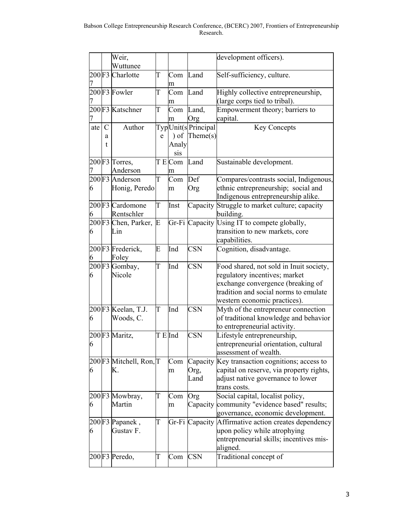|     |               | Weir,                  |                           |           |                     | development officers).                               |
|-----|---------------|------------------------|---------------------------|-----------|---------------------|------------------------------------------------------|
|     |               | Wuttunee               |                           |           |                     |                                                      |
|     |               | 200F3 Charlotte        | T                         | Com       | Land                | Self-sufficiency, culture.                           |
|     |               |                        |                           | m         |                     |                                                      |
|     |               | 200F3 Fowler           | T                         | Com       | Land                | Highly collective entrepreneurship,                  |
|     |               |                        |                           | m         |                     | (large corps tied to tribal).                        |
|     |               | 200F3 Katschner        | T                         | Com       | Land,               | Empowerment theory; barriers to                      |
|     |               |                        |                           | m         | Org                 | capital.                                             |
| ate | $\mathcal{C}$ | Author                 |                           |           | TypUnit(s Principal | <b>Key Concepts</b>                                  |
|     | a             |                        | e                         | $\int$ of | Then (s)            |                                                      |
|     | t             |                        |                           | Analy     |                     |                                                      |
|     |               |                        |                           | sis       |                     |                                                      |
|     |               | 200F3 Torres,          |                           | T E Com   | Land                | Sustainable development.                             |
|     |               | Anderson               |                           | m         |                     |                                                      |
|     |               | 200F3 Anderson         | Τ                         | Com       | Def                 | Compares/contrasts social, Indigenous,               |
| 6   |               | Honig, Peredo          |                           | m         | Org                 | ethnic entrepreneurship; social and                  |
|     |               |                        |                           |           |                     | Indigenous entrepreneurship alike.                   |
|     |               | 200F3 Cardomone        | T                         | Inst      | Capacity            | Struggle to market culture; capacity                 |
| 6   |               | Rentschler             |                           |           |                     | building.                                            |
|     |               | 200F3 Chen, Parker,    | E                         |           | Gr-Fi Capacity      | Using IT to compete globally,                        |
| 6   |               | Lin                    |                           |           |                     | transition to new markets, core                      |
|     |               |                        |                           |           |                     | capabilities.                                        |
|     |               | 200F3 Frederick,       | E                         | Ind       | <b>CSN</b>          | Cognition, disadvantage.                             |
| 6   |               | Foley                  |                           |           |                     |                                                      |
|     |               | 200F3 Gombay,          | Т                         | Ind       | <b>CSN</b>          | Food shared, not sold in Inuit society,              |
| 6   |               | Nicole                 |                           |           |                     | regulatory incentives; market                        |
|     |               |                        |                           |           |                     | exchange convergence (breaking of                    |
|     |               |                        |                           |           |                     | tradition and social norms to emulate                |
|     |               |                        |                           |           |                     | western economic practices).                         |
|     |               | 200F3 Keelan, T.J.     | T                         | Ind       | <b>CSN</b>          | Myth of the entrepreneur connection                  |
| 6   |               | Woods, C.              |                           |           |                     | of traditional knowledge and behavior                |
|     |               |                        |                           |           |                     | to entrepreneurial activity.                         |
|     |               | 200F3 Maritz,          | $T \to$ Ind               |           | <b>CSN</b>          | Lifestyle entrepreneurship,                          |
| 6   |               |                        |                           |           |                     | entrepreneurial orientation, cultural                |
|     |               |                        |                           |           |                     | assessment of wealth.                                |
|     |               | 200F3 Mitchell, Ron, T |                           | Com       | Capacity            | Key transaction cognitions; access to                |
| 6   |               | K.                     |                           | m         | Org,                | capital on reserve, via property rights,             |
|     |               |                        |                           |           | Land                | adjust native governance to lower                    |
|     |               |                        |                           |           |                     | trans costs.                                         |
|     |               | 200F3 Mowbray,         | Τ                         | Com       | Org                 | Social capital, localist policy,                     |
| 6   |               | Martin                 |                           | m         | Capacity            | community "evidence based" results;                  |
|     |               |                        |                           |           |                     | governance, economic development.                    |
|     |               | 200F3 Papanek,         | $\boldsymbol{\mathrm{T}}$ |           |                     | Gr-Fi Capacity Affirmative action creates dependency |
| 6   |               | Gustav F.              |                           |           |                     | upon policy while atrophying                         |
|     |               |                        |                           |           |                     | entrepreneurial skills; incentives mis-              |
|     |               |                        |                           |           |                     | aligned.                                             |
|     |               | 200F3 Peredo,          | T                         | Com       | <b>CSN</b>          | Traditional concept of                               |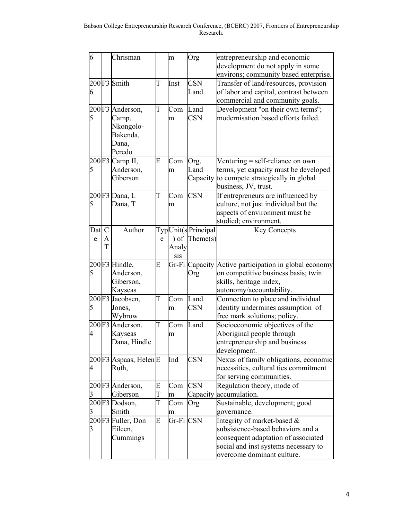| 6              |               | Chrisman                   |   | m         | Org                | entrepreneurship and economic                                      |  |
|----------------|---------------|----------------------------|---|-----------|--------------------|--------------------------------------------------------------------|--|
|                |               |                            |   |           |                    | development do not apply in some                                   |  |
|                |               |                            |   |           |                    | environs; community based enterprise.                              |  |
|                |               | $200$ F <sub>3</sub> Smith | T | Inst      | <b>CSN</b>         | Transfer of land/resources, provision                              |  |
| 6              |               |                            |   |           | Land               | of labor and capital, contrast between                             |  |
|                |               |                            |   |           |                    | commercial and community goals.                                    |  |
|                |               | 200F3 Anderson,            | T | Com       | Land               | Development "on their own terms";                                  |  |
| 5              |               | Camp,                      |   | m         | <b>CSN</b>         | modernisation based efforts failed.                                |  |
|                |               | Nkongolo-                  |   |           |                    |                                                                    |  |
|                |               | Bakenda,                   |   |           |                    |                                                                    |  |
|                |               | Dana,                      |   |           |                    |                                                                    |  |
|                |               | Peredo                     |   |           |                    |                                                                    |  |
|                |               | $200$ F3 Camp II,          | E | Com       | Org,               | Venturing $=$ self-reliance on own                                 |  |
| $\overline{5}$ |               | Anderson,                  |   | m         | Land               | terms, yet capacity must be developed                              |  |
|                |               | Giberson                   |   |           | Capacity           | to compete strategically in global                                 |  |
|                |               |                            |   |           |                    | business, JV, trust.                                               |  |
|                |               | 200F3 Dana, L              | T | Com       | <b>CSN</b>         | If entrepreneurs are influenced by                                 |  |
| 5              |               | Dana, T                    |   | m         |                    | culture, not just individual but the                               |  |
|                |               |                            |   |           |                    | aspects of environment must be                                     |  |
|                |               |                            |   |           |                    | studied; environment.                                              |  |
| Dat            | $\mathcal{C}$ | Author                     |   |           | TypUnit(sPrincipal | <b>Key Concepts</b>                                                |  |
| e              | А             |                            | e | $\int$ of | Then (s)           |                                                                    |  |
|                | T             |                            |   | Analy     |                    |                                                                    |  |
|                |               |                            |   | sis       |                    |                                                                    |  |
|                |               | 200F3 Hindle,              | E |           |                    | Gr-Fi Capacity Active participation in global economy              |  |
| 5              |               | Anderson,                  |   |           | Org                | on competitive business basis; twin                                |  |
|                |               | Giberson,                  |   |           |                    | skills, heritage index,                                            |  |
|                |               | Kayseas                    |   |           |                    | autonomy/accountability.                                           |  |
|                |               | 200F3 Jacobsen,            | T | Com       | Land               | Connection to place and individual                                 |  |
| 5              |               | Jones,                     |   | m         | <b>CSN</b>         | identity undermines assumption of                                  |  |
|                |               | Wybrow                     |   |           |                    | free mark solutions; policy.                                       |  |
|                |               | 200F3 Anderson,            | T | Com       | Land               | Socioeconomic objectives of the                                    |  |
| 4              |               | Kayseas                    |   | m         |                    | Aboriginal people through                                          |  |
|                |               | Dana, Hindle               |   |           |                    | entrepreneurship and business                                      |  |
|                |               |                            |   |           |                    | development.                                                       |  |
|                |               | 200 F3 Aspaas, Helen E     |   | Ind       | <b>CSN</b>         | Nexus of family obligations, economic                              |  |
| 4              |               | Ruth,                      |   |           |                    | necessities, cultural ties commitment                              |  |
|                |               |                            |   |           |                    | for serving communities.                                           |  |
|                |               | 200F3 Anderson,            | E | Com       | <b>CSN</b>         | Regulation theory, mode of                                         |  |
| 3              |               | Giberson                   | T | m         | Capacity           | accumulation.                                                      |  |
|                |               | 200F3 Dodson,              | T | Com       | Org                | Sustainable, development; good                                     |  |
| 3              |               | Smith                      |   | m         |                    | governance.                                                        |  |
|                |               | 200F3 Fuller, Don          | E | Gr-Fi CSN |                    | Integrity of market-based &                                        |  |
| $\overline{3}$ |               | Eileen,                    |   |           |                    | subsistence-based behaviors and a                                  |  |
|                |               | Cummings                   |   |           |                    | consequent adaptation of associated                                |  |
|                |               |                            |   |           |                    | social and inst systems necessary to<br>overcome dominant culture. |  |
|                |               |                            |   |           |                    |                                                                    |  |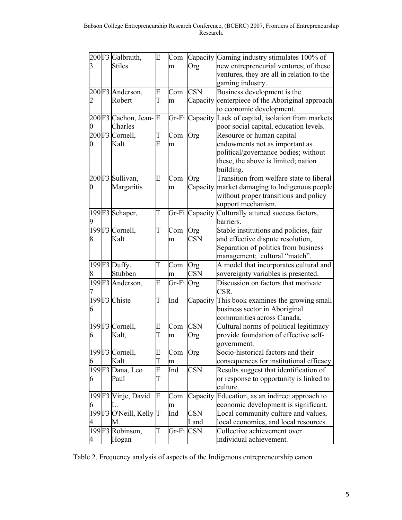|                  | 200F3 Galbraith,          | E                       | Com       |            | Capacity Gaming industry stimulates 100% of            |
|------------------|---------------------------|-------------------------|-----------|------------|--------------------------------------------------------|
|                  | <b>Stiles</b>             |                         | m         | Org        | new entrepreneurial ventures; of these                 |
|                  |                           |                         |           |            | ventures, they are all in relation to the              |
|                  |                           |                         |           |            | gaming industry.                                       |
|                  | 200F3 Anderson,           | E                       | Com       | <b>CSN</b> | Business development is the                            |
|                  | Robert                    | T                       | m         | Capacity   | centerpiece of the Aboriginal approach                 |
|                  |                           |                         |           |            | to economic development.                               |
|                  | 200 F3 Cachon, Jean-E     |                         |           |            | Gr-Fi Capacity Lack of capital, isolation from markets |
| $\boldsymbol{0}$ | Charles                   |                         |           |            | poor social capital, education levels.                 |
|                  | 200F3 Cornell,            | T                       | Com       | Org        | Resource or human capital                              |
| 0                | Kalt                      | E                       | m         |            | endowments not as important as                         |
|                  |                           |                         |           |            | political/governance bodies; without                   |
|                  |                           |                         |           |            |                                                        |
|                  |                           |                         |           |            | these, the above is limited; nation                    |
|                  |                           |                         |           |            | building.                                              |
|                  | 200F3 Sullivan,           | E                       | Com       | Org        | Transition from welfare state to liberal               |
| 0                | Margaritis                |                         | m         |            | Capacity market damaging to Indigenous people          |
|                  |                           |                         |           |            | without proper transitions and policy                  |
|                  |                           |                         |           |            | support mechanism.                                     |
|                  | 199F3 Schaper,            | T                       |           |            | Gr-Fi Capacity Culturally attuned success factors,     |
|                  |                           |                         |           |            | barriers.                                              |
|                  | 199F3 Cornell,            | T                       | Com       | Org        | Stable institutions and policies, fair                 |
| 8                | Kalt                      |                         | m         | <b>CSN</b> | and effective dispute resolution,                      |
|                  |                           |                         |           |            | Separation of politics from business                   |
|                  |                           |                         |           |            | management; cultural "match".                          |
|                  | 199F3 Duffy,              | T                       | Com       | Org        | A model that incorporates cultural and                 |
| 8                | Stubben                   |                         | m         | <b>CSN</b> | sovereignty variables is presented.                    |
|                  | 199F3 Anderson,           | E                       | Gr-Fi Org |            | Discussion on factors that motivate                    |
|                  |                           |                         |           |            | CSR.                                                   |
|                  | 199F3 Chiste              | $\overline{\mathrm{T}}$ | Ind       |            | Capacity This book examines the growing small          |
| 6                |                           |                         |           |            | business sector in Aboriginal                          |
|                  |                           |                         |           |            | communities across Canada.                             |
|                  | 199F3 Cornell,            | E                       | Com       | <b>CSN</b> | Cultural norms of political legitimacy                 |
| 6                | Kalt,                     | T                       | m         | Org        | provide foundation of effective self-                  |
|                  |                           |                         |           |            | government.                                            |
|                  | 199F3 Cornell,            | E                       | Com       | Org        | Socio-historical factors and their                     |
| 6                | Kalt                      | T                       | m         |            | consequences for institutional efficacy.               |
|                  | 199F3 Dana, Leo           | E                       | Ind       | <b>CSN</b> | Results suggest that identification of                 |
| 6                | Paul                      | T                       |           |            | or response to opportunity is linked to                |
|                  |                           |                         |           |            | culture.                                               |
|                  |                           | E                       |           |            | Education, as an indirect approach to                  |
|                  | 199F3 Vinje, David        |                         | Com       | Capacity   |                                                        |
| 6                | L.                        |                         | m         |            | economic development is significant.                   |
|                  | $199$ F3 O'Neill, Kelly T |                         | Ind       | <b>CSN</b> | Local community culture and values,                    |
| 4                | М.                        |                         |           | Land       | local economics, and local resources.                  |
|                  | 199F3 Robinson,           | T                       | Gr-Fi     | <b>CSN</b> | Collective achievement over                            |
| 4                | Hogan                     |                         |           |            | individual achievement.                                |

Table 2. Frequency analysis of aspects of the Indigenous entrepreneurship canon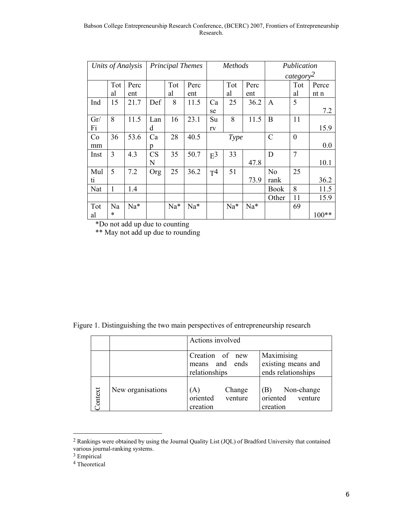#### Babson College Entrepreneurship Research Conference, (BCERC) 2007, Frontiers of Entrepreneurship Research.

| Units of Analysis |              | <b>Principal Themes</b> |           |     | <i>Methods</i> |                |       | Publication |                |                       |                 |
|-------------------|--------------|-------------------------|-----------|-----|----------------|----------------|-------|-------------|----------------|-----------------------|-----------------|
|                   |              |                         |           |     |                |                |       |             |                | category <sup>2</sup> |                 |
|                   | Tot          | Perc                    |           | Tot | Perc           |                | Tot   | Perc        |                | Tot                   | Perce           |
|                   | al           | ent                     |           | al  | ent            |                | al    | ent         |                | al                    | nt <sub>n</sub> |
| Ind               | 15           | 21.7                    | Def       | 8   | 11.5           | Ca             | 25    | 36.2        | A              | 5                     |                 |
|                   |              |                         |           |     |                | se             |       |             |                |                       | 7.2             |
| Gr/               | 8            | 11.5                    | Lan       | 16  | 23.1           | Su             | 8     | 11.5        | B              | 11                    |                 |
| Fi                |              |                         | d         |     |                | rv             |       |             |                |                       | 15.9            |
| Co                | 36           | 53.6                    | Ca        | 28  | 40.5           |                | Type  |             | $\mathcal{C}$  | $\boldsymbol{0}$      |                 |
| mm                |              |                         | р         |     |                |                |       |             |                |                       | 0.0             |
| Inst              | 3            | 4.3                     | <b>CS</b> | 35  | 50.7           | $E^3$          | 33    |             | D              | $\overline{7}$        |                 |
|                   |              |                         | N         |     |                |                |       | 47.8        |                |                       | 10.1            |
| Mul               | 5            | 7.2                     | Org       | 25  | 36.2           | T <sup>4</sup> | 51    |             | N <sub>o</sub> | 25                    |                 |
| ti                |              |                         |           |     |                |                |       | 73.9        | rank           |                       | 36.2            |
| Nat               | $\mathbf{1}$ | 1.4                     |           |     |                |                |       |             | <b>Book</b>    | 8                     | 11.5            |
|                   |              |                         |           |     |                |                |       |             | Other          | 11                    | 15.9            |
| Tot               | Na           | Na*                     |           | Na* | Na*            |                | $Na*$ | $Na*$       |                | 69                    |                 |
| al                | $\ast$       |                         |           |     |                |                |       |             |                |                       | $100**$         |

\*Do not add up due to counting

\*\* May not add up due to rounding

Figure 1. Distinguishing the two main perspectives of entrepreneurship research

|         |                   | Actions involved                                      |                                                        |
|---------|-------------------|-------------------------------------------------------|--------------------------------------------------------|
|         |                   | Creation of<br>new<br>means and ends<br>relationships | Maximising<br>existing means and<br>ends relationships |
| Context | New organisations | Change<br>(A)<br>oriented<br>venture<br>creation      | Non-change<br>(B)<br>oriented<br>venture<br>creation   |

<sup>&</sup>lt;sup>2</sup> Rankings were obtained by using the Journal Quality List (JQL) of Bradford University that contained various journal-ranking systems.

<sup>3</sup> Empirical

f

4 Theoretical